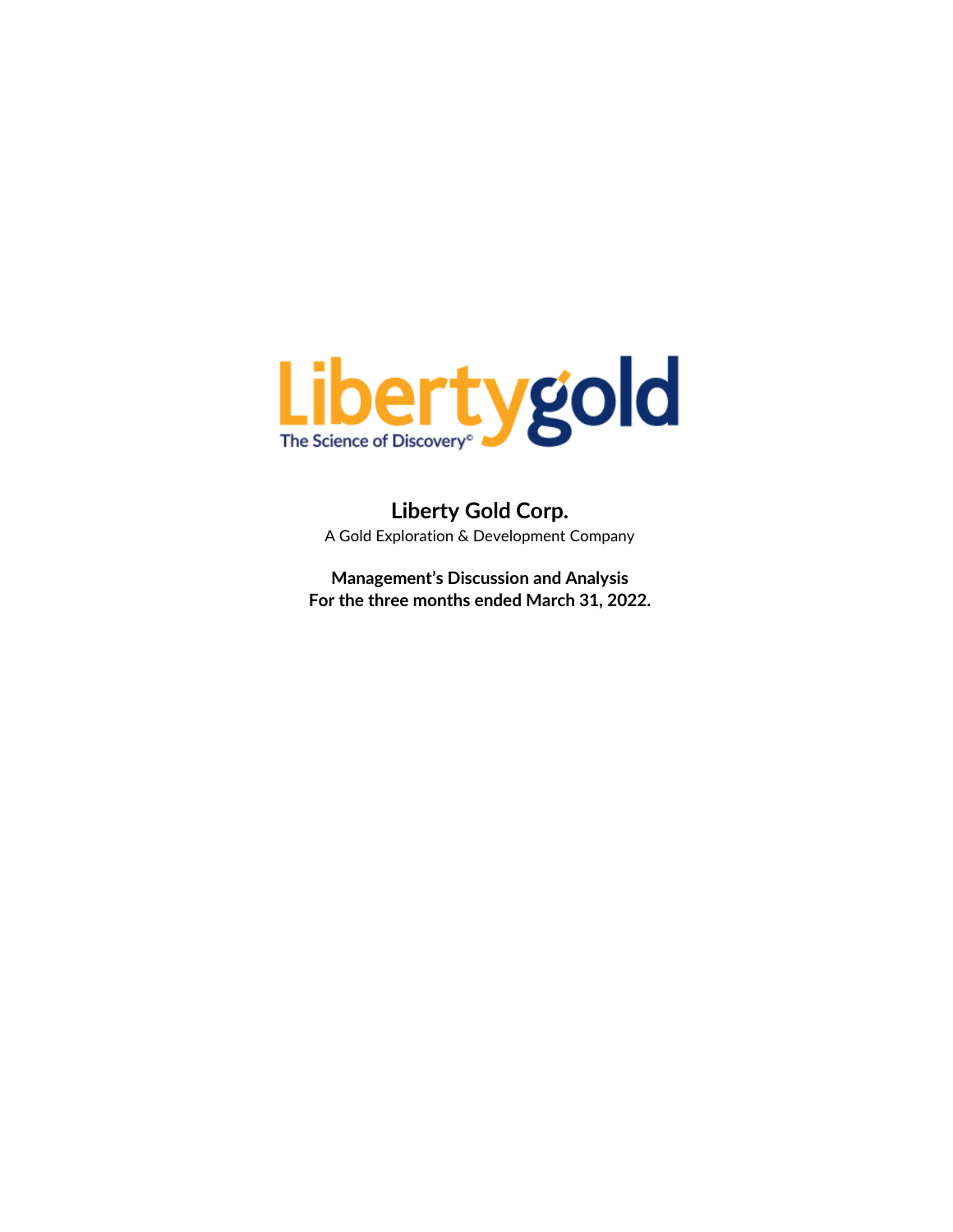

**Liberty Gold Corp.** A Gold Exploration & Development Company

**Management's Discussion and Analysis For the three months ended March 31, 2022.**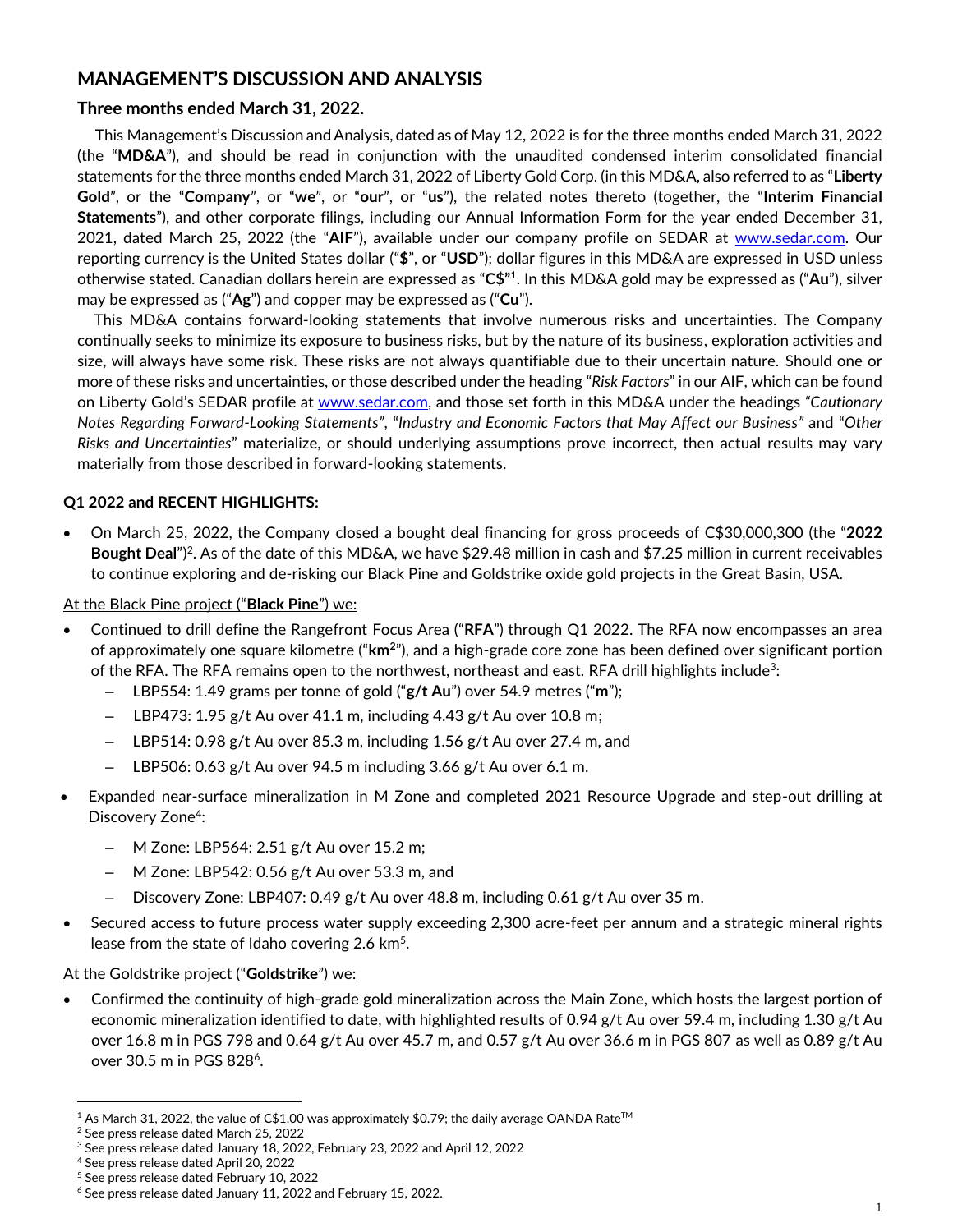# **MANAGEMENT'S DISCUSSION AND ANALYSIS**

# **Three months ended March 31, 2022.**

This Management's Discussion and Analysis, dated as of May 12, 2022 is for the three months ended March 31, 2022 (the "**MD&A**"), and should be read in conjunction with the unaudited condensed interim consolidated financial statements for the three months ended March 31, 2022 of Liberty Gold Corp. (in this MD&A, also referred to as "**Liberty Gold**", or the "**Company**", or "**we**", or "**our**", or "**us**"), the related notes thereto (together, the "**Interim Financial Statements**"), and other corporate filings, including our Annual Information Form for the year ended December 31, 2021, dated March 25, 2022 (the "**AIF**"), available under our company profile on SEDAR at [www.sedar.com.](http://www.sedar.com/) Our reporting currency is the United States dollar ("**\$**", or "**USD**"); dollar figures in this MD&A are expressed in USD unless otherwise stated. Canadian dollars herein are expressed as "**C\$"** 1 . In this MD&A gold may be expressed as ("**Au**"), silver may be expressed as ("**Ag**") and copper may be expressed as ("**Cu**").

This MD&A contains forward-looking statements that involve numerous risks and uncertainties. The Company continually seeks to minimize its exposure to business risks, but by the nature of its business, exploration activities and size, will always have some risk. These risks are not always quantifiable due to their uncertain nature. Should one or more of these risks and uncertainties, or those described under the heading "*Risk Factors*" in our AIF, which can be found on Liberty Gold's SEDAR profile at [www.sedar.com,](http://www.sedar.com/) and those set forth in this MD&A under the headings *"Cautionary Notes Regarding Forward-Looking Statements"*, "*Industry and Economic Factors that May Affect our Business"* and "*Other Risks and Uncertainties*" materialize, or should underlying assumptions prove incorrect, then actual results may vary materially from those described in forward-looking statements.

# **Q1 2022 and RECENT HIGHLIGHTS:**

• On March 25, 2022, the Company closed a bought deal financing for gross proceeds of C\$30,000,300 (the "**2022**  Bought Deal")<sup>2</sup>. As of the date of this MD&A, we have \$29.48 million in cash and \$7.25 million in current receivables to continue exploring and de-risking our Black Pine and Goldstrike oxide gold projects in the Great Basin, USA.

## At the Black Pine project ("**Black Pine**") we:

- Continued to drill define the Rangefront Focus Area ("**RFA**") through Q1 2022. The RFA now encompasses an area of approximately one square kilometre ("**km<sup>2</sup>** "), and a high-grade core zone has been defined over significant portion of the RFA. The RFA remains open to the northwest, northeast and east. RFA drill highlights include $^3$ :
	- LBP554: 1.49 grams per tonne of gold ("**g/t Au**") over 54.9 metres ("**m**");
	- LBP473: 1.95 g/t Au over 41.1 m, including 4.43 g/t Au over 10.8 m;
	- LBP514: 0.98 g/t Au over 85.3 m, including 1.56 g/t Au over 27.4 m, and
	- $-$  LBP506: 0.63 g/t Au over 94.5 m including 3.66 g/t Au over 6.1 m.
- Expanded near-surface mineralization in M Zone and completed 2021 Resource Upgrade and step-out drilling at Discovery Zone<sup>4</sup>:
	- M Zone: LBP564: 2.51 g/t Au over 15.2 m;
	- M Zone: LBP542: 0.56 g/t Au over 53.3 m, and
	- Discovery Zone: LBP407: 0.49 g/t Au over 48.8 m, including 0.61 g/t Au over 35 m.
- Secured access to future process water supply exceeding 2,300 acre-feet per annum and a strategic mineral rights lease from the state of Idaho covering 2.6 km<sup>5</sup>.

## At the Goldstrike project ("**Goldstrike**") we:

• Confirmed the continuity of high-grade gold mineralization across the Main Zone, which hosts the largest portion of economic mineralization identified to date, with highlighted results of 0.94 g/t Au over 59.4 m, including 1.30 g/t Au over 16.8 m in PGS 798 and 0.64 g/t Au over 45.7 m, and 0.57 g/t Au over 36.6 m in PGS 807 as well as 0.89 g/t Au over 30.5 m in PGS 828<sup>6</sup>.

 $1$  As March 31, 2022, the value of C\$1.00 was approximately \$0.79; the daily average OANDA Rate<sup>TM</sup>

<sup>2</sup> See press release dated March 25, 2022

<sup>&</sup>lt;sup>3</sup> See press release dated January 18, 2022, February 23, 2022 and April 12, 2022

<sup>4</sup> See press release dated April 20, 2022

<sup>5</sup> See press release dated February 10, 2022

<sup>6</sup> See press release dated January 11, 2022 and February 15, 2022.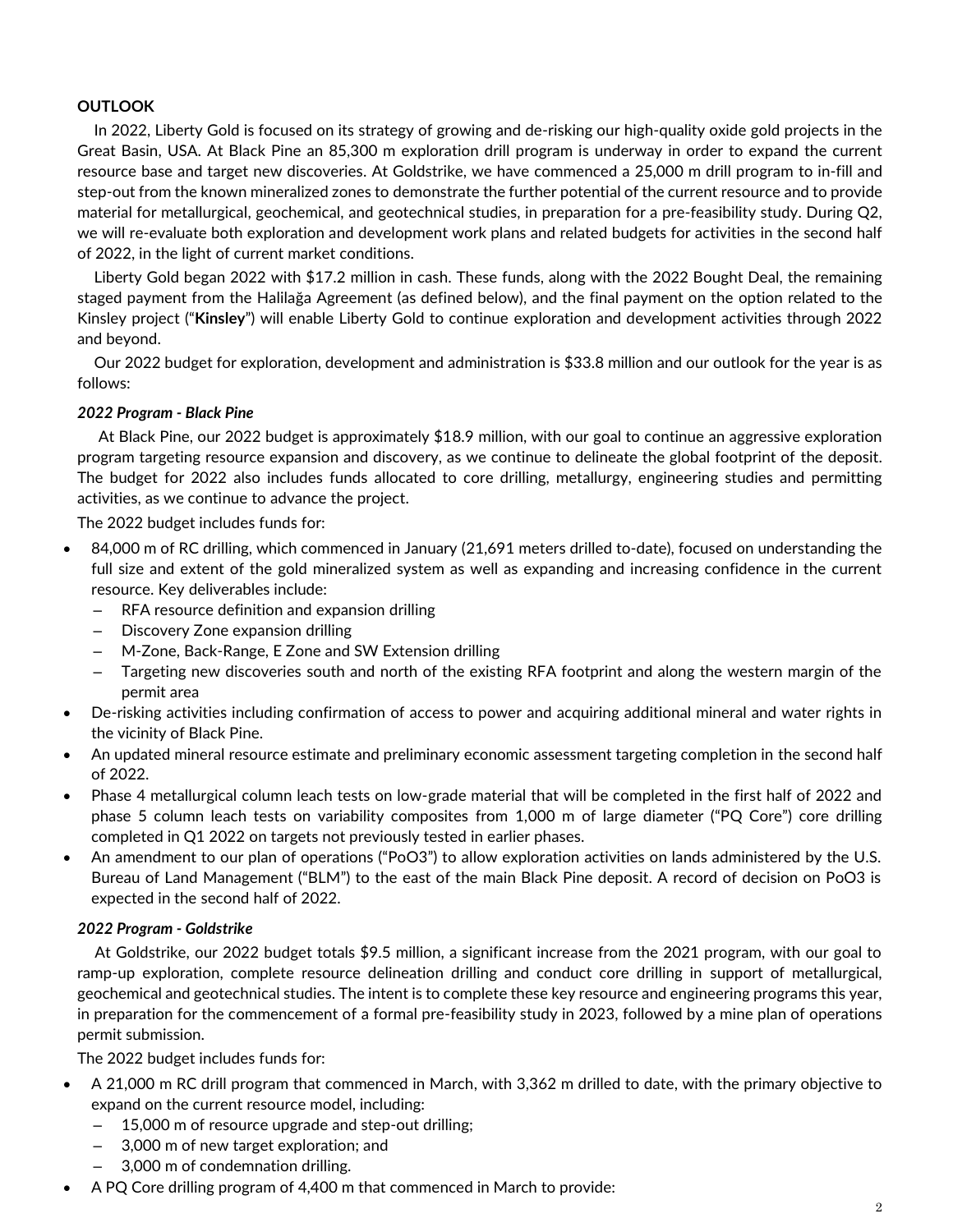# **OUTLOOK**

In 2022, Liberty Gold is focused on its strategy of growing and de-risking our high-quality oxide gold projects in the Great Basin, USA. At Black Pine an 85,300 m exploration drill program is underway in order to expand the current resource base and target new discoveries. At Goldstrike, we have commenced a 25,000 m drill program to in-fill and step-out from the known mineralized zones to demonstrate the further potential of the current resource and to provide material for metallurgical, geochemical, and geotechnical studies, in preparation for a pre-feasibility study. During Q2, we will re-evaluate both exploration and development work plans and related budgets for activities in the second half of 2022, in the light of current market conditions.

Liberty Gold began 2022 with \$17.2 million in cash. These funds, along with the 2022 Bought Deal, the remaining staged payment from the Halilağa Agreement (as defined below), and the final payment on the option related to the Kinsley project ("**Kinsley**") will enable Liberty Gold to continue exploration and development activities through 2022 and beyond.

Our 2022 budget for exploration, development and administration is \$33.8 million and our outlook for the year is as follows:

## *2022 Program - Black Pine*

At Black Pine, our 2022 budget is approximately \$18.9 million, with our goal to continue an aggressive exploration program targeting resource expansion and discovery, as we continue to delineate the global footprint of the deposit. The budget for 2022 also includes funds allocated to core drilling, metallurgy, engineering studies and permitting activities, as we continue to advance the project.

The 2022 budget includes funds for:

- 84,000 m of RC drilling, which commenced in January (21,691 meters drilled to-date), focused on understanding the full size and extent of the gold mineralized system as well as expanding and increasing confidence in the current resource. Key deliverables include:
	- RFA resource definition and expansion drilling
	- Discovery Zone expansion drilling
	- M-Zone, Back-Range, E Zone and SW Extension drilling
	- Targeting new discoveries south and north of the existing RFA footprint and along the western margin of the permit area
- De-risking activities including confirmation of access to power and acquiring additional mineral and water rights in the vicinity of Black Pine.
- An updated mineral resource estimate and preliminary economic assessment targeting completion in the second half of 2022.
- Phase 4 metallurgical column leach tests on low-grade material that will be completed in the first half of 2022 and phase 5 column leach tests on variability composites from 1,000 m of large diameter ("PQ Core") core drilling completed in Q1 2022 on targets not previously tested in earlier phases.
- An amendment to our plan of operations ("PoO3") to allow exploration activities on lands administered by the U.S. Bureau of Land Management ("BLM") to the east of the main Black Pine deposit. A record of decision on PoO3 is expected in the second half of 2022.

### *2022 Program - Goldstrike*

At Goldstrike, our 2022 budget totals \$9.5 million, a significant increase from the 2021 program, with our goal to ramp-up exploration, complete resource delineation drilling and conduct core drilling in support of metallurgical, geochemical and geotechnical studies. The intent is to complete these key resource and engineering programs this year, in preparation for the commencement of a formal pre-feasibility study in 2023, followed by a mine plan of operations permit submission.

The 2022 budget includes funds for:

- A 21,000 m RC drill program that commenced in March, with 3,362 m drilled to date, with the primary objective to expand on the current resource model, including:
	- 15,000 m of resource upgrade and step-out drilling;
	- 3,000 m of new target exploration; and
	- 3,000 m of condemnation drilling.
- A PQ Core drilling program of 4,400 m that commenced in March to provide: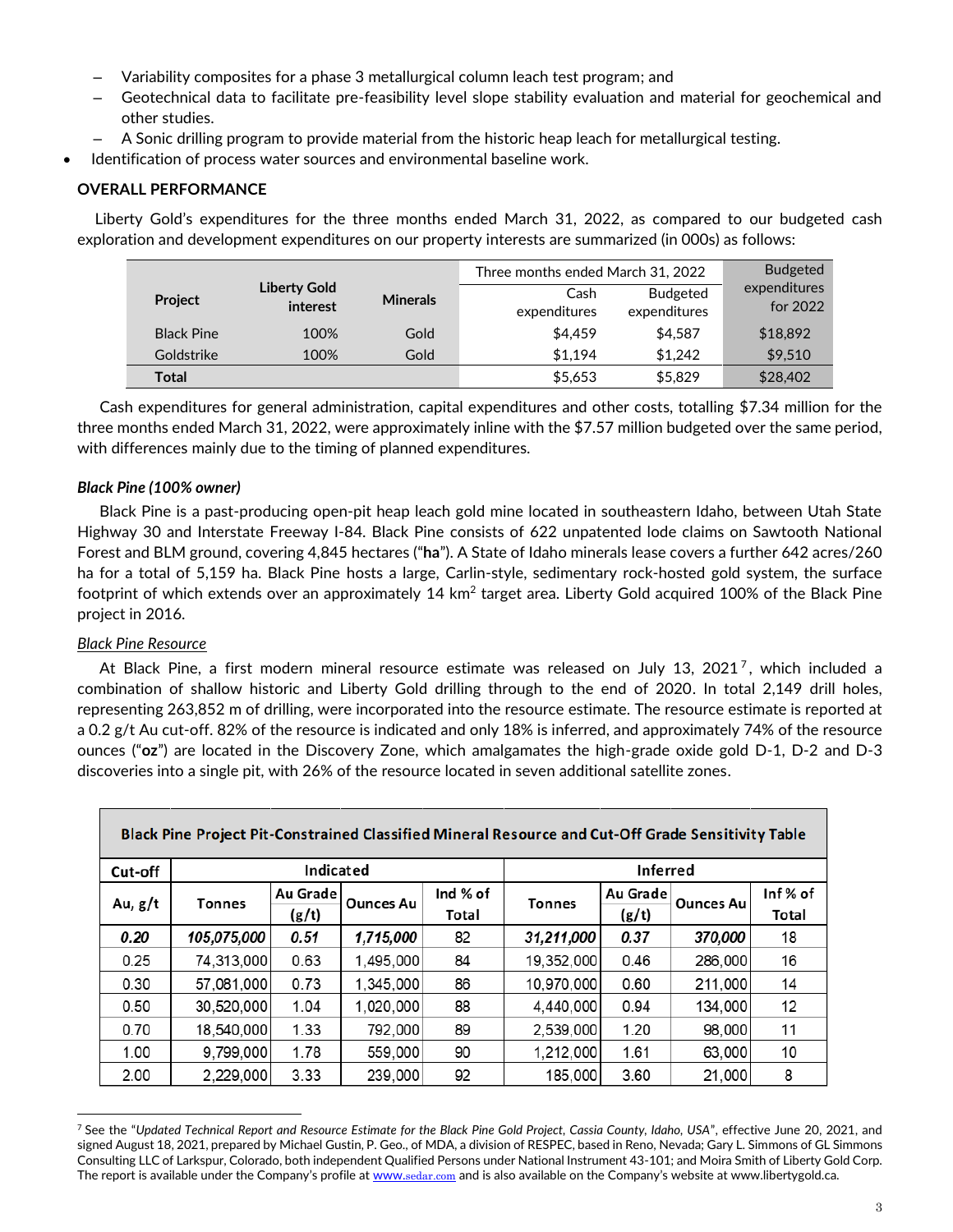- Variability composites for a phase 3 metallurgical column leach test program; and
- Geotechnical data to facilitate pre-feasibility level slope stability evaluation and material for geochemical and other studies.
- A Sonic drilling program to provide material from the historic heap leach for metallurgical testing.
- Identification of process water sources and environmental baseline work.

# **OVERALL PERFORMANCE**

Liberty Gold's expenditures for the three months ended March 31, 2022, as compared to our budgeted cash exploration and development expenditures on our property interests are summarized (in 000s) as follows:

|                   |                                 |                 | Three months ended March 31, 2022 | <b>Budgeted</b>                 |                          |
|-------------------|---------------------------------|-----------------|-----------------------------------|---------------------------------|--------------------------|
| <b>Project</b>    | <b>Liberty Gold</b><br>interest | <b>Minerals</b> | Cash<br>expenditures              | <b>Budgeted</b><br>expenditures | expenditures<br>for 2022 |
| <b>Black Pine</b> | 100%                            | Gold            | \$4,459                           | \$4.587                         | \$18,892                 |
| Goldstrike        | 100%                            | Gold            | \$1.194                           | \$1.242                         | \$9,510                  |
| Total             |                                 |                 | \$5,653                           | \$5,829                         | \$28,402                 |

Cash expenditures for general administration, capital expenditures and other costs, totalling \$7.34 million for the three months ended March 31, 2022, were approximately inline with the \$7.57 million budgeted over the same period, with differences mainly due to the timing of planned expenditures.

# *Black Pine (100% owner)*

Black Pine is a past-producing open-pit heap leach gold mine located in southeastern Idaho, between Utah State Highway 30 and Interstate Freeway I-84. Black Pine consists of 622 unpatented lode claims on Sawtooth National Forest and BLM ground, covering 4,845 hectares ("**ha**"). A State of Idaho minerals lease covers a further 642 acres/260 ha for a total of 5,159 ha. Black Pine hosts a large, Carlin-style, sedimentary rock-hosted gold system, the surface footprint of which extends over an approximately 14 km $^2$  target area. Liberty Gold acquired 100% of the Black Pine project in 2016.

## *Black Pine Resource*

At Black Pine, a first modern mineral resource estimate was released on July 13, 2021<sup>7</sup>, which included a combination of shallow historic and Liberty Gold drilling through to the end of 2020. In total 2,149 drill holes, representing 263,852 m of drilling, were incorporated into the resource estimate. The resource estimate is reported at a 0.2 g/t Au cut-off. 82% of the resource is indicated and only 18% is inferred, and approximately 74% of the resource ounces ("**oz**") are located in the Discovery Zone, which amalgamates the high-grade oxide gold D-1, D-2 and D-3 discoveries into a single pit, with 26% of the resource located in seven additional satellite zones.

| Black Pine Project Pit-Constrained Classified Mineral Resource and Cut-Off Grade Sensitivity Table |               |                   |                  |                   |               |                   |                  |                  |
|----------------------------------------------------------------------------------------------------|---------------|-------------------|------------------|-------------------|---------------|-------------------|------------------|------------------|
| Cut-off                                                                                            |               | Indicated         |                  |                   |               | <b>Inferred</b>   |                  |                  |
| Au, g/t                                                                                            | <b>Tonnes</b> | Au Grade<br>(g/t) | <b>Ounces Au</b> | Ind % of<br>Total | <b>Tonnes</b> | Au Grade<br>(g/t) | <b>Ounces Au</b> | Inf% of<br>Total |
| 0.20                                                                                               | 105,075,000   | 0.51              | 1,715,000        | 82                | 31,211,000    | 0.37              | 370,000          | 18               |
| 0.25                                                                                               | 74,313,000    | 0.63              | 1,495,000        | 84                | 19,352,000    | 0.46              | 286,000          | 16               |
| 0.30                                                                                               | 57,081,000    | 0.73              | 1,345,000        | 86                | 10,970,000    | 0.60              | 211,000          | 14               |
| 0.50                                                                                               | 30,520,000    | 1.04              | 1,020,000        | 88                | 4,440,000     | 0.94              | 134,000          | 12               |
| 0.70                                                                                               | 18,540,000    | 1.33              | 792,000          | 89                | 2,539,000     | 1.20              | 98,000           | 11               |
| 1.00                                                                                               | 9,799,000     | 1.78              | 559,000          | 90                | 1,212,000     | 1.61              | 63,000           | 10               |
| 2.00                                                                                               | 2,229,000     | 3.33              | 239,000          | 92                | 185,000       | 3.60              | 21,000           | 8                |

<sup>7</sup> See the "*Updated Technical Report and Resource Estimate for the Black Pine Gold Project, Cassia County, Idaho, USA*", effective June 20, 2021, and signed August 18, 2021, prepared by Michael Gustin, P. Geo., of MDA, a division of RESPEC, based in Reno, Nevada; Gary L. Simmons of GL Simmons Consulting LLC of Larkspur, Colorado, both independent Qualified Persons under National Instrument 43-101; and Moira Smith of Liberty Gold Corp. The report is available under the Company's profile at www.[sedar.com](http://www.sedar.com/) and is also available on the Company's website at www.libertygold.ca.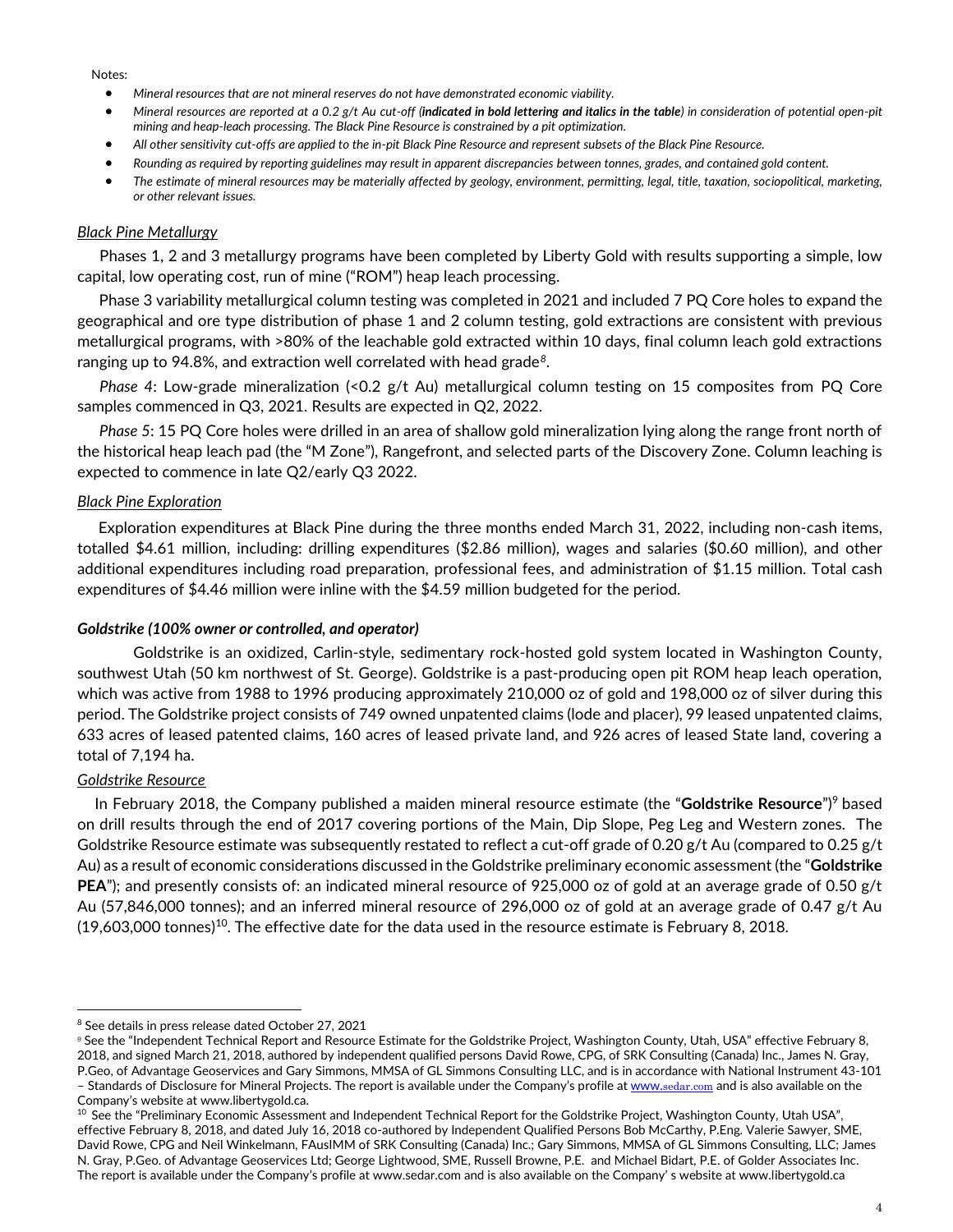#### Notes:

- *Mineral resources that are not mineral reserves do not have demonstrated economic viability.*
- *Mineral resources are reported at a 0.2 g/t Au cut-off (indicated in bold lettering and italics in the table) in consideration of potential open-pit mining and heap-leach processing. The Black Pine Resource is constrained by a pit optimization.*
- *All other sensitivity cut-offs are applied to the in-pit Black Pine Resource and represent subsets of the Black Pine Resource.*
- *Rounding as required by reporting guidelines may result in apparent discrepancies between tonnes, grades, and contained gold content.*
- *The estimate of mineral resources may be materially affected by geology, environment, permitting, legal, title, taxation, sociopolitical, marketing, or other relevant issues.*

### *Black Pine Metallurgy*

Phases 1, 2 and 3 metallurgy programs have been completed by Liberty Gold with results supporting a simple, low capital, low operating cost, run of mine ("ROM") heap leach processing.

Phase 3 variability metallurgical column testing was completed in 2021 and included 7 PQ Core holes to expand the geographical and ore type distribution of phase 1 and 2 column testing, gold extractions are consistent with previous metallurgical programs, with >80% of the leachable gold extracted within 10 days, final column leach gold extractions ranging up to 94.8%, and extraction well correlated with head grade*<sup>8</sup>* .

*Phase 4*: Low-grade mineralization (<0.2 g/t Au) metallurgical column testing on 15 composites from PQ Core samples commenced in Q3, 2021. Results are expected in Q2, 2022.

*Phase 5*: 15 PQ Core holes were drilled in an area of shallow gold mineralization lying along the range front north of the historical heap leach pad (the "M Zone"), Rangefront, and selected parts of the Discovery Zone. Column leaching is expected to commence in late Q2/early Q3 2022.

### *Black Pine Exploration*

Exploration expenditures at Black Pine during the three months ended March 31, 2022, including non-cash items, totalled \$4.61 million, including: drilling expenditures (\$2.86 million), wages and salaries (\$0.60 million), and other additional expenditures including road preparation, professional fees, and administration of \$1.15 million. Total cash expenditures of \$4.46 million were inline with the \$4.59 million budgeted for the period.

### *Goldstrike (100% owner or controlled, and operator)*

Goldstrike is an oxidized, Carlin-style, sedimentary rock-hosted gold system located in Washington County, southwest Utah (50 km northwest of St. George). Goldstrike is a past-producing open pit ROM heap leach operation, which was active from 1988 to 1996 producing approximately 210,000 oz of gold and 198,000 oz of silver during this period. The Goldstrike project consists of 749 owned unpatented claims (lode and placer), 99 leased unpatented claims, 633 acres of leased patented claims, 160 acres of leased private land, and 926 acres of leased State land, covering a total of 7,194 ha.

### *Goldstrike Resource*

In February 2018, the Company published a maiden mineral resource estimate (the "**Goldstrike Resource**")<sup>9</sup> based on drill results through the end of 2017 covering portions of the Main, Dip Slope, Peg Leg and Western zones. The Goldstrike Resource estimate was subsequently restated to reflect a cut-off grade of 0.20 g/t Au (compared to 0.25 g/t Au) as a result of economic considerations discussed in the Goldstrike preliminary economic assessment (the "**Goldstrike PEA**"); and presently consists of: an indicated mineral resource of 925,000 oz of gold at an average grade of 0.50 g/t Au (57,846,000 tonnes); and an inferred mineral resource of 296,000 oz of gold at an average grade of 0.47 g/t Au (19,603,000 tonnes) $^{\rm 10}$ . The effective date for the data used in the resource estimate is February 8, 2018.

<sup>&</sup>lt;sup>8</sup> See details in press release dated October 27, 2021

<sup>9</sup> See the "Independent Technical Report and Resource Estimate for the Goldstrike Project, Washington County, Utah, USA" effective February 8, 2018, and signed March 21, 2018, authored by independent qualified persons David Rowe, CPG, of SRK Consulting (Canada) Inc., James N. Gray, P.Geo, of Advantage Geoservices and Gary Simmons, MMSA of GL Simmons Consulting LLC, and is in accordance with National Instrument 43-101 – Standards of Disclosure for Mineral Projects. The report is available under the Company's profile at www.[sedar.com](http://www.sedar.com/) and is also available on the

Company's website at www.libertygold.ca.

 $10$  See the "Preliminary Economic Assessment and Independent Technical Report for the Goldstrike Project, Washington County, Utah USA", effective February 8, 2018, and dated July 16, 2018 co-authored by Independent Qualified Persons Bob McCarthy, P.Eng. Valerie Sawyer, SME, David Rowe, CPG and Neil Winkelmann, FAusIMM of SRK Consulting (Canada) Inc.; Gary Simmons, MMSA of GL Simmons Consulting, LLC; James N. Gray, P.Geo. of Advantage Geoservices Ltd; George Lightwood, SME, Russell Browne, P.E. and Michael Bidart, P.E. of Golder Associates Inc. The report is available under the Company's profile at www.sedar.com and is also available on the Company' s website at www.libertygold.ca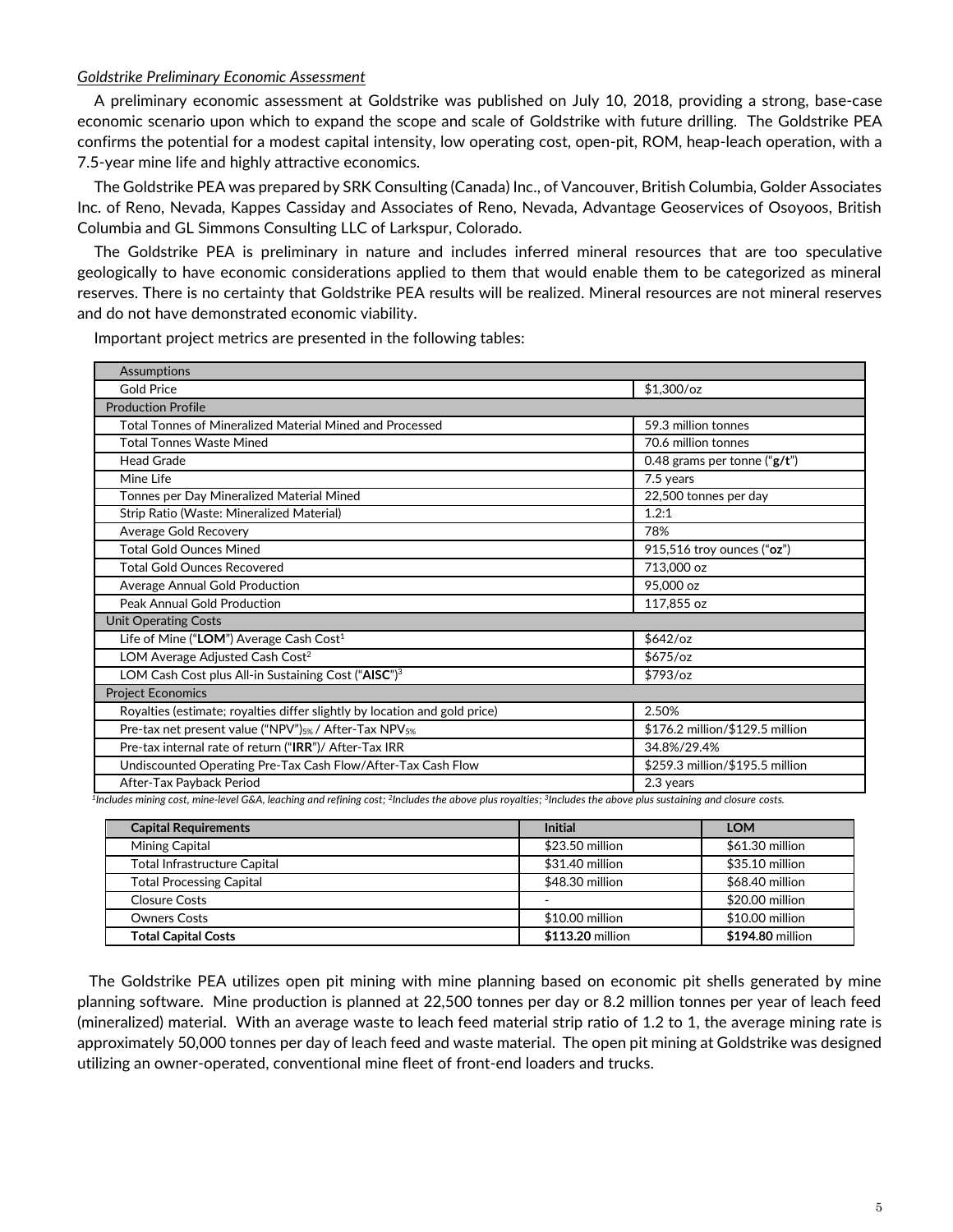### *Goldstrike Preliminary Economic Assessment*

A preliminary economic assessment at Goldstrike was published on July 10, 2018, providing a strong, base-case economic scenario upon which to expand the scope and scale of Goldstrike with future drilling. The Goldstrike PEA confirms the potential for a modest capital intensity, low operating cost, open-pit, ROM, heap-leach operation, with a 7.5-year mine life and highly attractive economics.

The Goldstrike PEA was prepared by SRK Consulting (Canada) Inc., of Vancouver, British Columbia, Golder Associates Inc. of Reno, Nevada, Kappes Cassiday and Associates of Reno, Nevada, Advantage Geoservices of Osoyoos, British Columbia and GL Simmons Consulting LLC of Larkspur, Colorado.

The Goldstrike PEA is preliminary in nature and includes inferred mineral resources that are too speculative geologically to have economic considerations applied to them that would enable them to be categorized as mineral reserves. There is no certainty that Goldstrike PEA results will be realized. Mineral resources are not mineral reserves and do not have demonstrated economic viability.

| <b>Assumptions</b>                                                            |                                  |
|-------------------------------------------------------------------------------|----------------------------------|
| <b>Gold Price</b>                                                             | $$1,300$ /oz                     |
| <b>Production Profile</b>                                                     |                                  |
| Total Tonnes of Mineralized Material Mined and Processed                      | 59.3 million tonnes              |
| <b>Total Tonnes Waste Mined</b>                                               | 70.6 million tonnes              |
| <b>Head Grade</b>                                                             | 0.48 grams per tonne (" $g/t$ ") |
| Mine Life                                                                     | 7.5 years                        |
| Tonnes per Day Mineralized Material Mined                                     | 22,500 tonnes per day            |
| Strip Ratio (Waste: Mineralized Material)                                     | 1.2:1                            |
| Average Gold Recovery                                                         | 78%                              |
| <b>Total Gold Ounces Mined</b>                                                | 915,516 troy ounces ("oz")       |
| <b>Total Gold Ounces Recovered</b>                                            | 713,000 oz                       |
| Average Annual Gold Production                                                | 95,000 oz                        |
| Peak Annual Gold Production                                                   | 117,855 oz                       |
| <b>Unit Operating Costs</b>                                                   |                                  |
| Life of Mine ("LOM") Average Cash Cost <sup>1</sup>                           | $$642$ /oz                       |
| LOM Average Adjusted Cash Cost <sup>2</sup>                                   | $$675$ /oz                       |
| LOM Cash Cost plus All-in Sustaining Cost ("AISC") <sup>3</sup>               | $$793$ /oz                       |
| <b>Project Economics</b>                                                      |                                  |
| Royalties (estimate; royalties differ slightly by location and gold price)    | 2.50%                            |
| Pre-tax net present value ("NPV") <sub>5%</sub> / After-Tax NPV <sub>5%</sub> | \$176.2 million/\$129.5 million  |
| Pre-tax internal rate of return ("IRR")/ After-Tax IRR                        | 34.8%/29.4%                      |
| Undiscounted Operating Pre-Tax Cash Flow/After-Tax Cash Flow                  | \$259.3 million/\$195.5 million  |
| After-Tax Payback Period                                                      | 2.3 years                        |

Important project metrics are presented in the following tables:

*1 Includes mining cost, mine-level G&A, leaching and refining cost; <sup>2</sup> Includes the above plus royalties; <sup>3</sup> Includes the above plus sustaining and closure costs.*

| <b>Capital Requirements</b>     | <b>Initial</b>   | <b>LOM</b>       |
|---------------------------------|------------------|------------------|
| Mining Capital                  | \$23.50 million  | \$61.30 million  |
| Total Infrastructure Capital    | \$31.40 million  | \$35.10 million  |
| <b>Total Processing Capital</b> | \$48.30 million  | \$68.40 million  |
| <b>Closure Costs</b>            |                  | \$20.00 million  |
| <b>Owners Costs</b>             | \$10.00 million  | \$10.00 million  |
| <b>Total Capital Costs</b>      | \$113.20 million | \$194.80 million |

 The Goldstrike PEA utilizes open pit mining with mine planning based on economic pit shells generated by mine planning software. Mine production is planned at 22,500 tonnes per day or 8.2 million tonnes per year of leach feed (mineralized) material. With an average waste to leach feed material strip ratio of 1.2 to 1, the average mining rate is approximately 50,000 tonnes per day of leach feed and waste material. The open pit mining at Goldstrike was designed utilizing an owner-operated, conventional mine fleet of front-end loaders and trucks.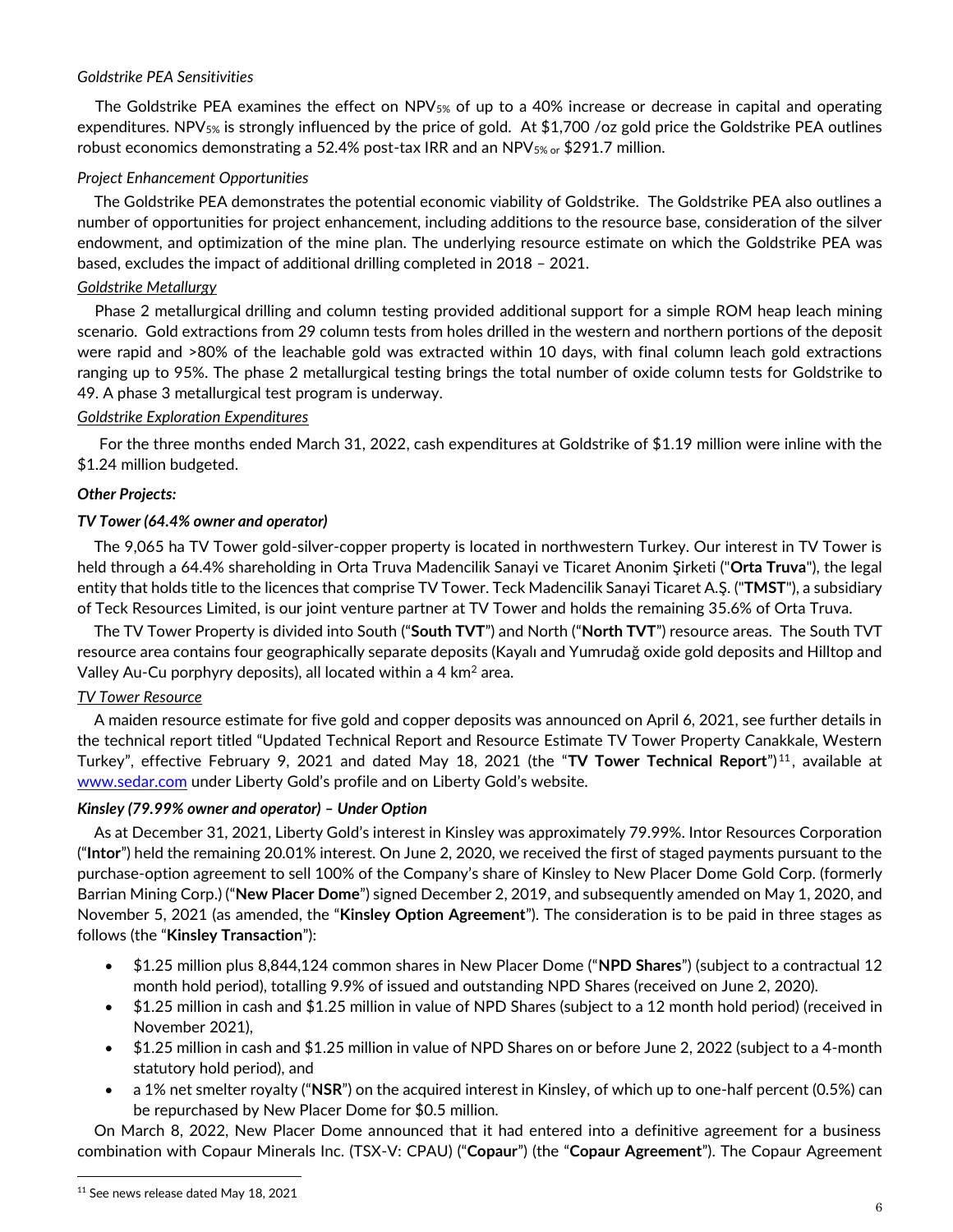## *Goldstrike PEA Sensitivities*

The Goldstrike PEA examines the effect on NPV5% of up to a 40% increase or decrease in capital and operating expenditures. NPV<sub>5%</sub> is strongly influenced by the price of gold. At \$1,700 /oz gold price the Goldstrike PEA outlines robust economics demonstrating a 52.4% post-tax IRR and an NPV5% or \$291.7 million.

## *Project Enhancement Opportunities*

The Goldstrike PEA demonstrates the potential economic viability of Goldstrike. The Goldstrike PEA also outlines a number of opportunities for project enhancement, including additions to the resource base, consideration of the silver endowment, and optimization of the mine plan. The underlying resource estimate on which the Goldstrike PEA was based, excludes the impact of additional drilling completed in 2018 – 2021.

## *Goldstrike Metallurgy*

Phase 2 metallurgical drilling and column testing provided additional support for a simple ROM heap leach mining scenario. Gold extractions from 29 column tests from holes drilled in the western and northern portions of the deposit were rapid and >80% of the leachable gold was extracted within 10 days, with final column leach gold extractions ranging up to 95%. The phase 2 metallurgical testing brings the total number of oxide column tests for Goldstrike to 49. A phase 3 metallurgical test program is underway.

## *Goldstrike Exploration Expenditures*

For the three months ended March 31, 2022, cash expenditures at Goldstrike of \$1.19 million were inline with the \$1.24 million budgeted.

## *Other Projects:*

## *TV Tower (64.4% owner and operator)*

The 9,065 ha TV Tower gold-silver-copper property is located in northwestern Turkey. Our interest in TV Tower is held through a 64.4% shareholding in Orta Truva Madencilik Sanayi ve Ticaret Anonim Şirketi ("**Orta Truva**"), the legal entity that holds title to the licences that comprise TV Tower. Teck Madencilik Sanayi Ticaret A.Ş. ("**TMST**"), a subsidiary of Teck Resources Limited, is our joint venture partner at TV Tower and holds the remaining 35.6% of Orta Truva.

The TV Tower Property is divided into South ("**South TVT**") and North ("**North TVT**") resource areas. The South TVT resource area contains four geographically separate deposits (Kayalı and Yumrudağ oxide gold deposits and Hilltop and Valley Au-Cu porphyry deposits), all located within a 4 km<sup>2</sup> area.

## *TV Tower Resource*

A maiden resource estimate for five gold and copper deposits was announced on April 6, 2021, see further details in the technical report titled "Updated Technical Report and Resource Estimate TV Tower Property Canakkale, Western Turkey", effective February 9, 2021 and dated May 18, 2021 (the "**TV Tower Technical Report**") <sup>11</sup>, available at [www.sedar.com](http://www.sedar.com/) under Liberty Gold's profile and on Liberty Gold's website.

### *Kinsley (79.99% owner and operator) – Under Option*

As at December 31, 2021, Liberty Gold's interest in Kinsley was approximately 79.99%. Intor Resources Corporation ("**Intor**") held the remaining 20.01% interest. On June 2, 2020, we received the first of staged payments pursuant to the purchase-option agreement to sell 100% of the Company's share of Kinsley to New Placer Dome Gold Corp. (formerly Barrian Mining Corp.) ("**New Placer Dome**") signed December 2, 2019, and subsequently amended on May 1, 2020, and November 5, 2021 (as amended, the "**Kinsley Option Agreement**"). The consideration is to be paid in three stages as follows (the "**Kinsley Transaction**"):

- \$1.25 million plus 8,844,124 common shares in New Placer Dome ("**NPD Shares**") (subject to a contractual 12 month hold period), totalling 9.9% of issued and outstanding NPD Shares (received on June 2, 2020).
- \$1.25 million in cash and \$1.25 million in value of NPD Shares (subject to a 12 month hold period) (received in November 2021),
- \$1.25 million in cash and \$1.25 million in value of NPD Shares on or before June 2, 2022 (subject to a 4-month statutory hold period), and
- a 1% net smelter royalty ("**NSR**") on the acquired interest in Kinsley, of which up to one-half percent (0.5%) can be repurchased by New Placer Dome for \$0.5 million.

On March 8, 2022, New Placer Dome announced that it had entered into a definitive agreement for a business combination with Copaur Minerals Inc. (TSX-V: CPAU) ("**Copaur**") (the "**Copaur Agreement**"). The Copaur Agreement

<sup>&</sup>lt;sup>11</sup> See news release dated May 18, 2021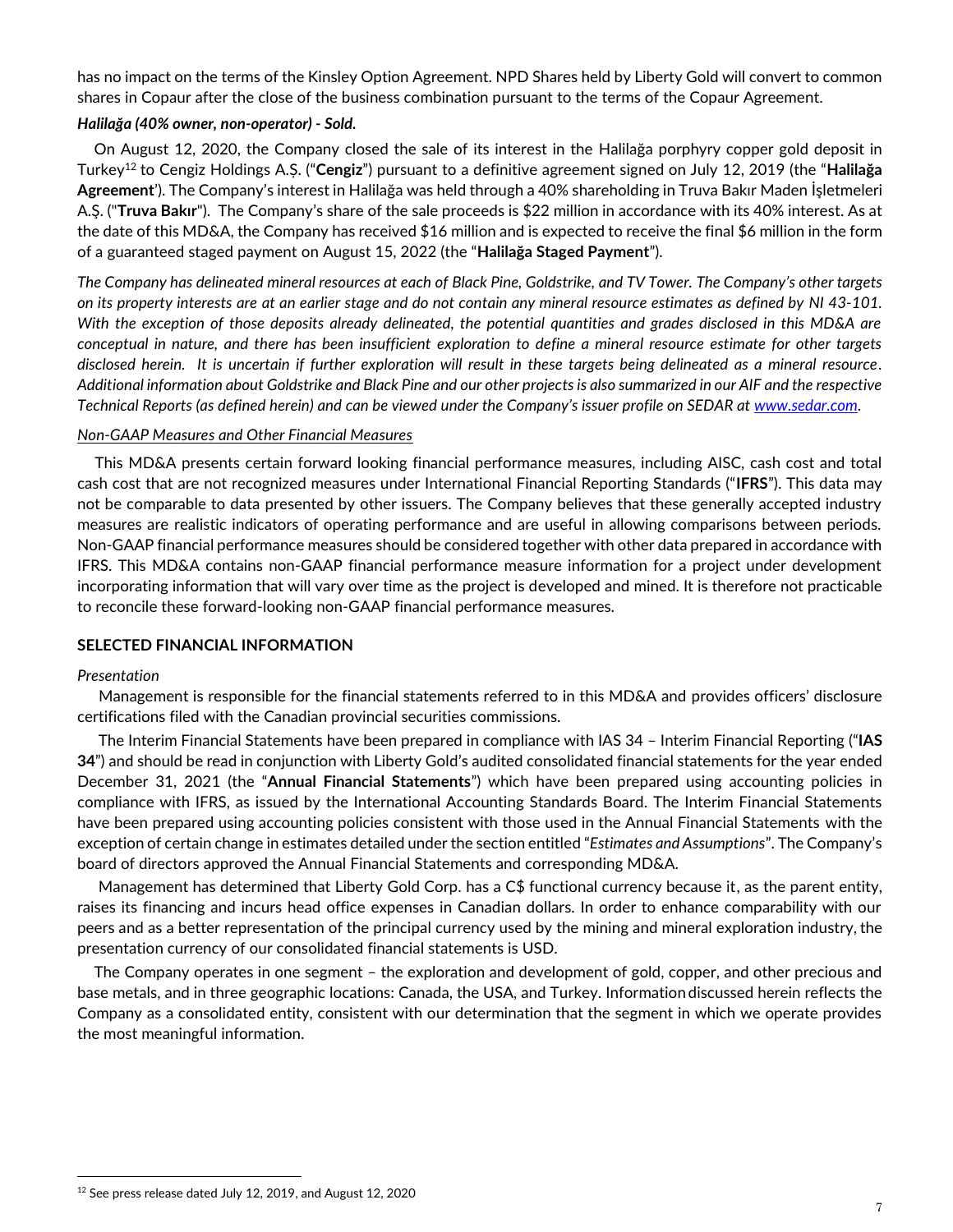has no impact on the terms of the Kinsley Option Agreement. NPD Shares held by Liberty Gold will convert to common shares in Copaur after the close of the business combination pursuant to the terms of the Copaur Agreement.

## *Halilağa (40% owner, non-operator) - Sold.*

On August 12, 2020, the Company closed the sale of its interest in the Halilağa porphyry copper gold deposit in Turkey<sup>12</sup> to Cengiz Holdings A.Ș. ("**Cengiz**") pursuant to a definitive agreement signed on July 12, 2019 (the "**Halilağa Agreement**'). The Company's interest in Halilağa was held through a 40% shareholding in Truva Bakır Maden İşletmeleri A.Ş. ("**Truva Bakır**"). The Company's share of the sale proceeds is \$22 million in accordance with its 40% interest. As at the date of this MD&A, the Company has received \$16 million and is expected to receive the final \$6 million in the form of a guaranteed staged payment on August 15, 2022 (the "**Halilağa Staged Payment**").

*The Company has delineated mineral resources at each of Black Pine, Goldstrike, and TV Tower. The Company's other targets on its property interests are at an earlier stage and do not contain any mineral resource estimates as defined by NI 43-101. With the exception of those deposits already delineated, the potential quantities and grades disclosed in this MD&A are conceptual in nature, and there has been insufficient exploration to define a mineral resource estimate for other targets disclosed herein. It is uncertain if further exploration will result in these targets being delineated as a mineral resource. Additional information about Goldstrike and Black Pine and our other projects is also summarized in our AIF and the respective Technical Reports (as defined herein) and can be viewed under the Company's issuer profile on SEDAR at www.sedar.com.* 

### *Non-GAAP Measures and Other Financial Measures*

This MD&A presents certain forward looking financial performance measures, including AISC, cash cost and total cash cost that are not recognized measures under International Financial Reporting Standards ("**IFRS**"). This data may not be comparable to data presented by other issuers. The Company believes that these generally accepted industry measures are realistic indicators of operating performance and are useful in allowing comparisons between periods. Non-GAAP financial performance measures should be considered together with other data prepared in accordance with IFRS. This MD&A contains non-GAAP financial performance measure information for a project under development incorporating information that will vary over time as the project is developed and mined. It is therefore not practicable to reconcile these forward-looking non-GAAP financial performance measures.

### **SELECTED FINANCIAL INFORMATION**

### *Presentation*

Management is responsible for the financial statements referred to in this MD&A and provides officers' disclosure certifications filed with the Canadian provincial securities commissions.

The Interim Financial Statements have been prepared in compliance with IAS 34 – Interim Financial Reporting ("**IAS 34**") and should be read in conjunction with Liberty Gold's audited consolidated financial statements for the year ended December 31, 2021 (the "**Annual Financial Statements**") which have been prepared using accounting policies in compliance with IFRS, as issued by the International Accounting Standards Board. The Interim Financial Statements have been prepared using accounting policies consistent with those used in the Annual Financial Statements with the exception of certain change in estimates detailed under the section entitled "*Estimates and Assumptions*". The Company's board of directors approved the Annual Financial Statements and corresponding MD&A.

Management has determined that Liberty Gold Corp. has a C\$ functional currency because it, as the parent entity, raises its financing and incurs head office expenses in Canadian dollars. In order to enhance comparability with our peers and as a better representation of the principal currency used by the mining and mineral exploration industry, the presentation currency of our consolidated financial statements is USD.

The Company operates in one segment – the exploration and development of gold, copper, and other precious and base metals, and in three geographic locations: Canada, the USA, and Turkey. Informationdiscussed herein reflects the Company as a consolidated entity, consistent with our determination that the segment in which we operate provides the most meaningful information.

<sup>&</sup>lt;sup>12</sup> See press release dated July 12, 2019, and August 12, 2020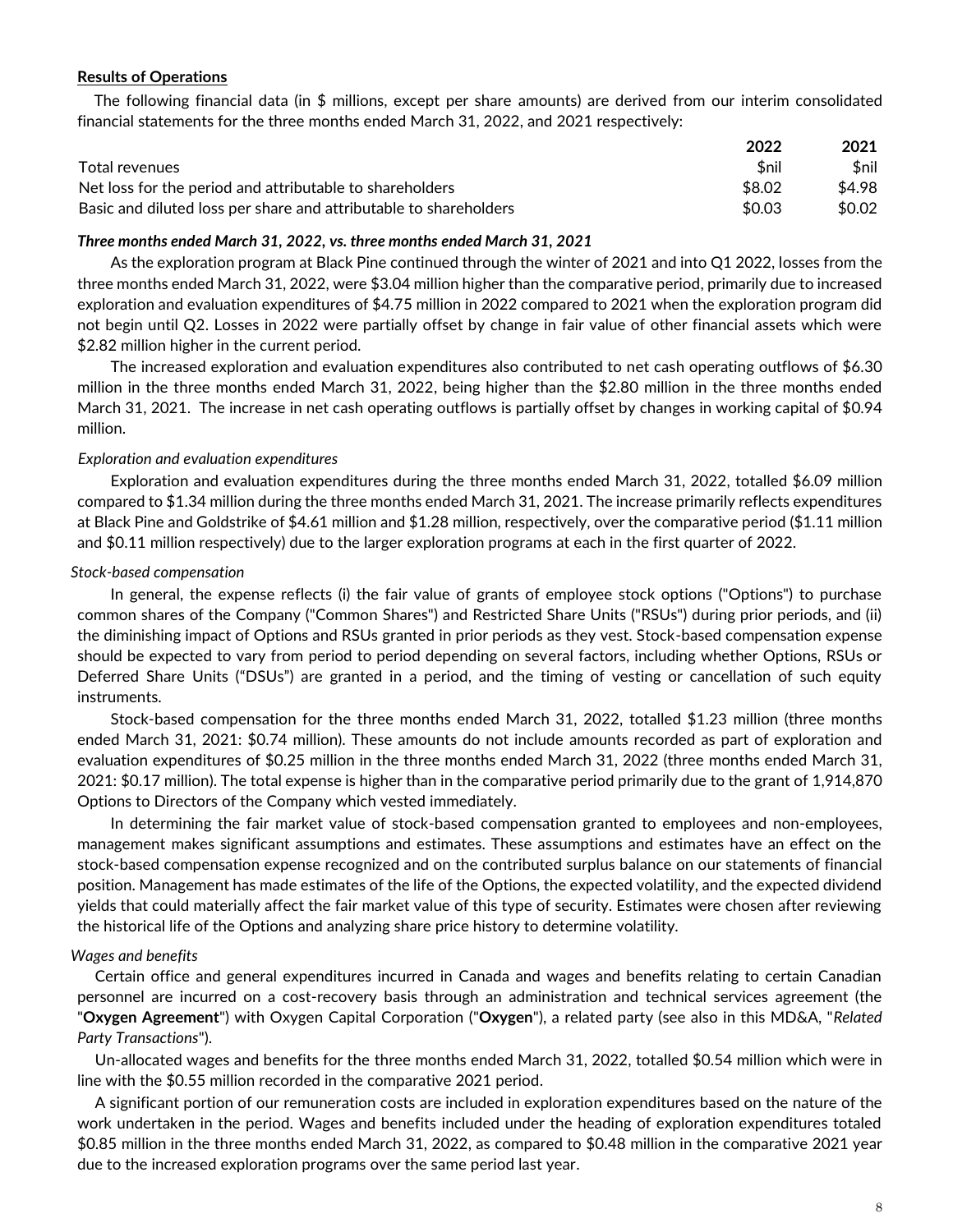### **Results of Operations**

The following financial data (in \$ millions, except per share amounts) are derived from our interim consolidated financial statements for the three months ended March 31, 2022, and 2021 respectively:

|                                                                   | 2022        | 2021   |
|-------------------------------------------------------------------|-------------|--------|
| Total revenues                                                    | <b>Snil</b> | \$nil  |
| Net loss for the period and attributable to shareholders          | \$8.02      | \$4.98 |
| Basic and diluted loss per share and attributable to shareholders | \$0.03      | \$0.02 |

### *Three months ended March 31, 2022, vs. three months ended March 31, 2021*

As the exploration program at Black Pine continued through the winter of 2021 and into Q1 2022, losses from the three months ended March 31, 2022, were \$3.04 million higher than the comparative period, primarily due to increased exploration and evaluation expenditures of \$4.75 million in 2022 compared to 2021 when the exploration program did not begin until Q2. Losses in 2022 were partially offset by change in fair value of other financial assets which were \$2.82 million higher in the current period.

The increased exploration and evaluation expenditures also contributed to net cash operating outflows of \$6.30 million in the three months ended March 31, 2022, being higher than the \$2.80 million in the three months ended March 31, 2021. The increase in net cash operating outflows is partially offset by changes in working capital of \$0.94 million.

### *Exploration and evaluation expenditures*

Exploration and evaluation expenditures during the three months ended March 31, 2022, totalled \$6.09 million compared to \$1.34 million during the three months ended March 31, 2021. The increase primarily reflects expenditures at Black Pine and Goldstrike of \$4.61 million and \$1.28 million, respectively, over the comparative period (\$1.11 million and \$0.11 million respectively) due to the larger exploration programs at each in the first quarter of 2022.

### *Stock-based compensation*

In general, the expense reflects (i) the fair value of grants of employee stock options ("Options") to purchase common shares of the Company ("Common Shares") and Restricted Share Units ("RSUs") during prior periods, and (ii) the diminishing impact of Options and RSUs granted in prior periods as they vest. Stock-based compensation expense should be expected to vary from period to period depending on several factors, including whether Options, RSUs or Deferred Share Units ("DSUs") are granted in a period, and the timing of vesting or cancellation of such equity instruments.

Stock-based compensation for the three months ended March 31, 2022, totalled \$1.23 million (three months ended March 31, 2021: \$0.74 million). These amounts do not include amounts recorded as part of exploration and evaluation expenditures of \$0.25 million in the three months ended March 31, 2022 (three months ended March 31, 2021: \$0.17 million). The total expense is higher than in the comparative period primarily due to the grant of 1,914,870 Options to Directors of the Company which vested immediately.

In determining the fair market value of stock-based compensation granted to employees and non-employees, management makes significant assumptions and estimates. These assumptions and estimates have an effect on the stock-based compensation expense recognized and on the contributed surplus balance on our statements of financial position. Management has made estimates of the life of the Options, the expected volatility, and the expected dividend yields that could materially affect the fair market value of this type of security. Estimates were chosen after reviewing the historical life of the Options and analyzing share price history to determine volatility.

### *Wages and benefits*

Certain office and general expenditures incurred in Canada and wages and benefits relating to certain Canadian personnel are incurred on a cost-recovery basis through an administration and technical services agreement (the "**Oxygen Agreement**") with Oxygen Capital Corporation ("**Oxygen**"), a related party (see also in this MD&A, "*Related Party Transactions*").

Un-allocated wages and benefits for the three months ended March 31, 2022, totalled \$0.54 million which were in line with the \$0.55 million recorded in the comparative 2021 period.

A significant portion of our remuneration costs are included in exploration expenditures based on the nature of the work undertaken in the period. Wages and benefits included under the heading of exploration expenditures totaled \$0.85 million in the three months ended March 31, 2022, as compared to \$0.48 million in the comparative 2021 year due to the increased exploration programs over the same period last year.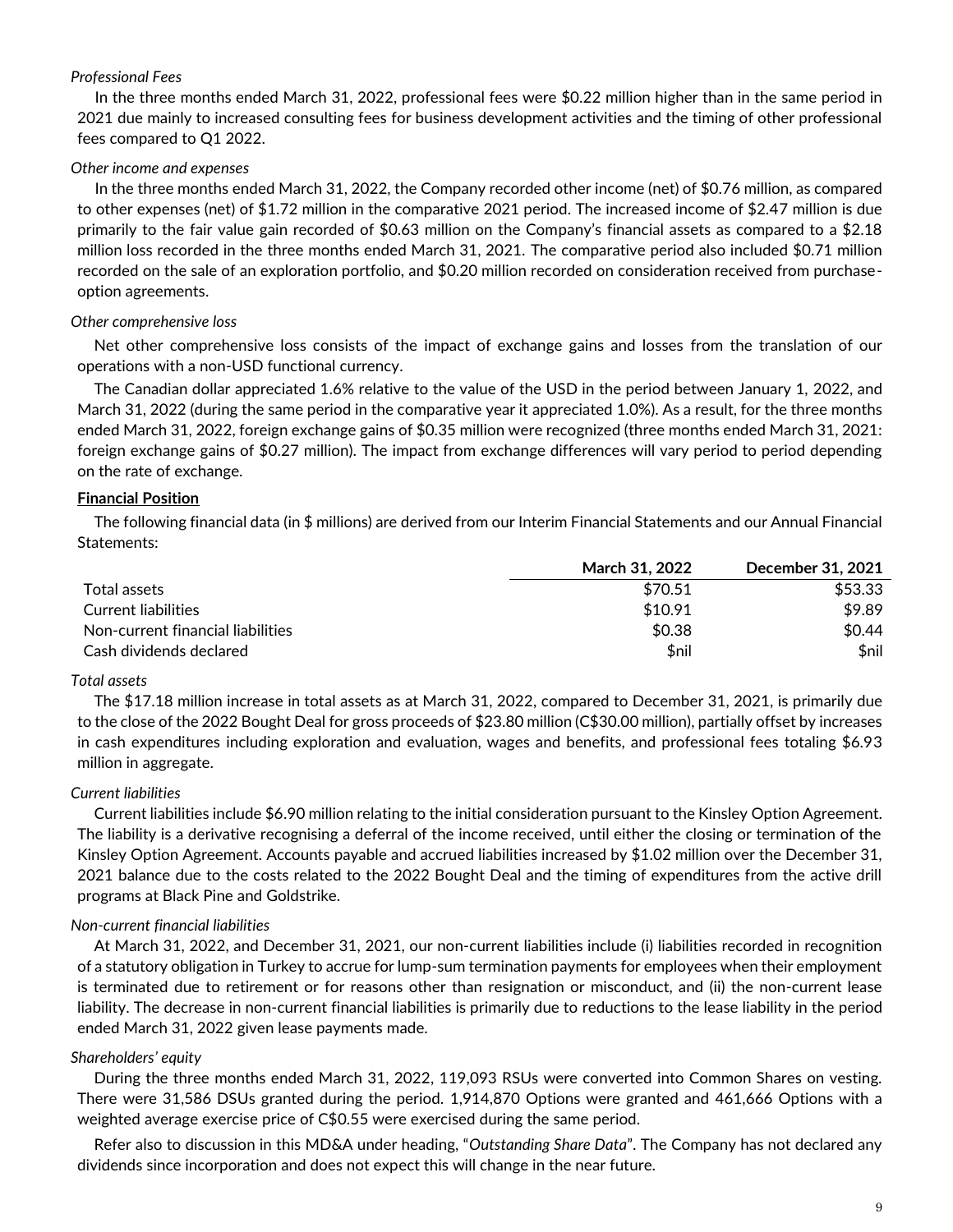## *Professional Fees*

In the three months ended March 31, 2022, professional fees were \$0.22 million higher than in the same period in 2021 due mainly to increased consulting fees for business development activities and the timing of other professional fees compared to Q1 2022.

## *Other income and expenses*

In the three months ended March 31, 2022, the Company recorded other income (net) of \$0.76 million, as compared to other expenses (net) of \$1.72 million in the comparative 2021 period. The increased income of \$2.47 million is due primarily to the fair value gain recorded of \$0.63 million on the Company's financial assets as compared to a \$2.18 million loss recorded in the three months ended March 31, 2021. The comparative period also included \$0.71 million recorded on the sale of an exploration portfolio, and \$0.20 million recorded on consideration received from purchaseoption agreements.

## *Other comprehensive loss*

Net other comprehensive loss consists of the impact of exchange gains and losses from the translation of our operations with a non-USD functional currency.

The Canadian dollar appreciated 1.6% relative to the value of the USD in the period between January 1, 2022, and March 31, 2022 (during the same period in the comparative year it appreciated 1.0%). As a result, for the three months ended March 31, 2022, foreign exchange gains of \$0.35 million were recognized (three months ended March 31, 2021: foreign exchange gains of \$0.27 million). The impact from exchange differences will vary period to period depending on the rate of exchange.

## **Financial Position**

The following financial data (in \$ millions) are derived from our Interim Financial Statements and our Annual Financial Statements:

|                                   | March 31, 2022 | <b>December 31, 2021</b> |
|-----------------------------------|----------------|--------------------------|
| Total assets                      | \$70.51        | \$53.33                  |
| Current liabilities               | \$10.91        | \$9.89                   |
| Non-current financial liabilities | \$0.38         | \$0.44                   |
| Cash dividends declared           | \$nil          | \$nil                    |

### *Total assets*

The \$17.18 million increase in total assets as at March 31, 2022, compared to December 31, 2021, is primarily due to the close of the 2022 Bought Deal for gross proceeds of \$23.80 million (C\$30.00 million), partially offset by increases in cash expenditures including exploration and evaluation, wages and benefits, and professional fees totaling \$6.93 million in aggregate.

### *Current liabilities*

Current liabilities include \$6.90 million relating to the initial consideration pursuant to the Kinsley Option Agreement. The liability is a derivative recognising a deferral of the income received, until either the closing or termination of the Kinsley Option Agreement. Accounts payable and accrued liabilities increased by \$1.02 million over the December 31, 2021 balance due to the costs related to the 2022 Bought Deal and the timing of expenditures from the active drill programs at Black Pine and Goldstrike.

## *Non-current financial liabilities*

At March 31, 2022, and December 31, 2021, our non-current liabilities include (i) liabilities recorded in recognition of a statutory obligation in Turkey to accrue for lump-sum termination payments for employees when their employment is terminated due to retirement or for reasons other than resignation or misconduct, and (ii) the non-current lease liability. The decrease in non-current financial liabilities is primarily due to reductions to the lease liability in the period ended March 31, 2022 given lease payments made.

### *Shareholders' equity*

During the three months ended March 31, 2022, 119,093 RSUs were converted into Common Shares on vesting. There were 31,586 DSUs granted during the period. 1,914,870 Options were granted and 461,666 Options with a weighted average exercise price of C\$0.55 were exercised during the same period.

Refer also to discussion in this MD&A under heading, "*Outstanding Share Data*". The Company has not declared any dividends since incorporation and does not expect this will change in the near future.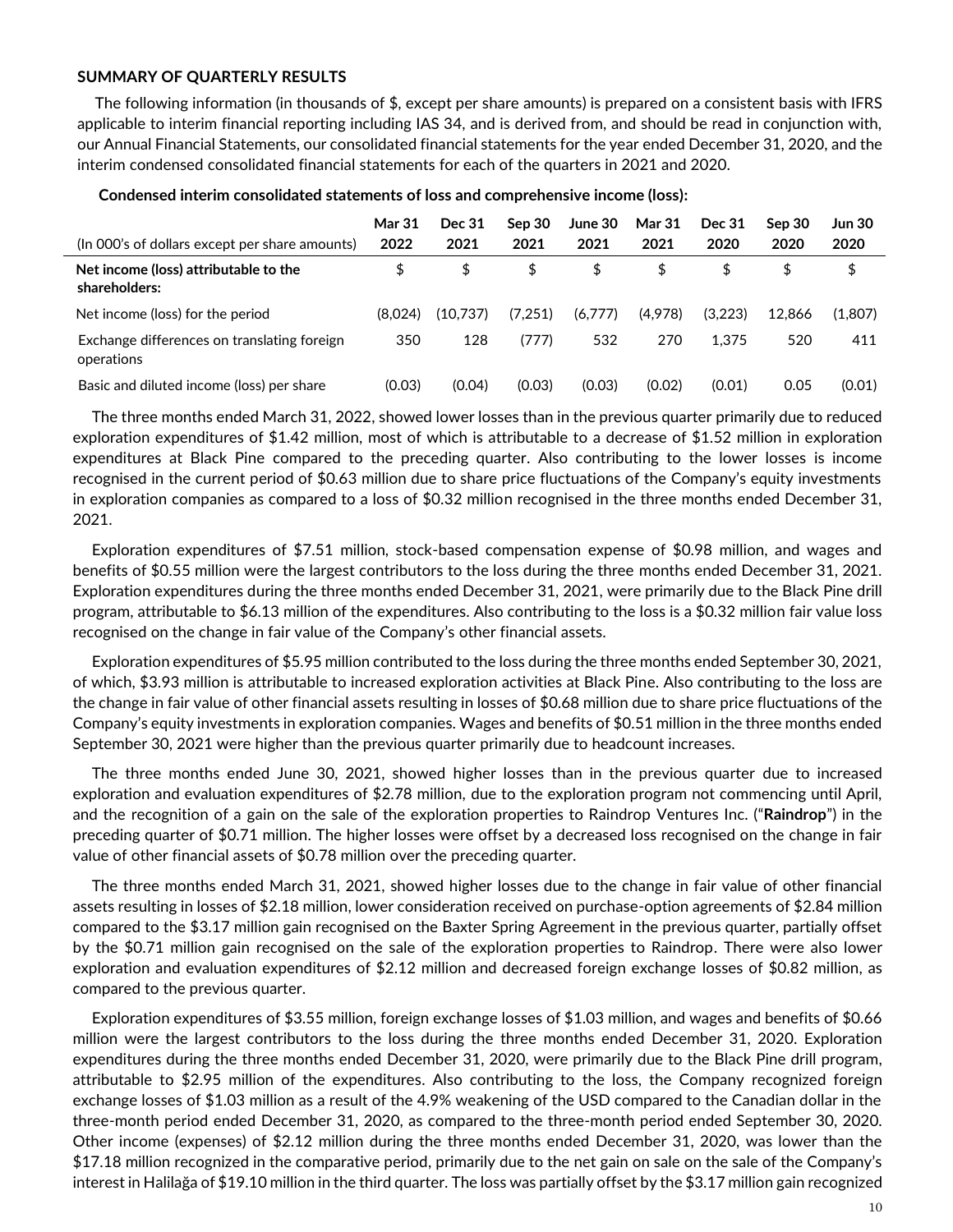### **SUMMARY OF QUARTERLY RESULTS**

The following information (in thousands of \$, except per share amounts) is prepared on a consistent basis with IFRS applicable to interim financial reporting including IAS 34, and is derived from, and should be read in conjunction with, our Annual Financial Statements, our consolidated financial statements for the year ended December 31, 2020, and the interim condensed consolidated financial statements for each of the quarters in 2021 and 2020.

| (In 000's of dollars except per share amounts)            | <b>Mar 31</b><br>2022 | Dec 31<br>2021 | Sep 30<br>2021 | June 30<br>2021 | <b>Mar 31</b><br>2021 | <b>Dec 31</b><br>2020 | Sep 30<br>2020 | Jun 30<br>2020 |
|-----------------------------------------------------------|-----------------------|----------------|----------------|-----------------|-----------------------|-----------------------|----------------|----------------|
| Net income (loss) attributable to the<br>shareholders:    | \$                    | \$             | \$             | \$              | \$                    | \$                    |                | \$             |
| Net income (loss) for the period                          | (8.024)               | (10,737)       | (7,251)        | (6,777)         | (4,978)               | (3,223)               | 12.866         | (1.807)        |
| Exchange differences on translating foreign<br>operations | 350                   | 128            | (777)          | 532             | 270                   | 1.375                 | 520            | 411            |
| Basic and diluted income (loss) per share                 | (0.03)                | (0.04)         | (0.03)         | (0.03)          | (0.02)                | (0.01)                | 0.05           | (0.01)         |

#### **Condensed interim consolidated statements of loss and comprehensive income (loss):**

The three months ended March 31, 2022, showed lower losses than in the previous quarter primarily due to reduced exploration expenditures of \$1.42 million, most of which is attributable to a decrease of \$1.52 million in exploration expenditures at Black Pine compared to the preceding quarter. Also contributing to the lower losses is income recognised in the current period of \$0.63 million due to share price fluctuations of the Company's equity investments in exploration companies as compared to a loss of \$0.32 million recognised in the three months ended December 31, 2021.

Exploration expenditures of \$7.51 million, stock-based compensation expense of \$0.98 million, and wages and benefits of \$0.55 million were the largest contributors to the loss during the three months ended December 31, 2021. Exploration expenditures during the three months ended December 31, 2021, were primarily due to the Black Pine drill program, attributable to \$6.13 million of the expenditures. Also contributing to the loss is a \$0.32 million fair value loss recognised on the change in fair value of the Company's other financial assets.

Exploration expenditures of \$5.95 million contributed to the loss during the three months ended September 30, 2021, of which, \$3.93 million is attributable to increased exploration activities at Black Pine. Also contributing to the loss are the change in fair value of other financial assets resulting in losses of \$0.68 million due to share price fluctuations of the Company's equity investments in exploration companies. Wages and benefits of \$0.51 million in the three months ended September 30, 2021 were higher than the previous quarter primarily due to headcount increases.

The three months ended June 30, 2021, showed higher losses than in the previous quarter due to increased exploration and evaluation expenditures of \$2.78 million, due to the exploration program not commencing until April, and the recognition of a gain on the sale of the exploration properties to Raindrop Ventures Inc. ("**Raindrop**") in the preceding quarter of \$0.71 million. The higher losses were offset by a decreased loss recognised on the change in fair value of other financial assets of \$0.78 million over the preceding quarter.

The three months ended March 31, 2021, showed higher losses due to the change in fair value of other financial assets resulting in losses of \$2.18 million, lower consideration received on purchase-option agreements of \$2.84 million compared to the \$3.17 million gain recognised on the Baxter Spring Agreement in the previous quarter, partially offset by the \$0.71 million gain recognised on the sale of the exploration properties to Raindrop. There were also lower exploration and evaluation expenditures of \$2.12 million and decreased foreign exchange losses of \$0.82 million, as compared to the previous quarter.

Exploration expenditures of \$3.55 million, foreign exchange losses of \$1.03 million, and wages and benefits of \$0.66 million were the largest contributors to the loss during the three months ended December 31, 2020. Exploration expenditures during the three months ended December 31, 2020, were primarily due to the Black Pine drill program, attributable to \$2.95 million of the expenditures. Also contributing to the loss, the Company recognized foreign exchange losses of \$1.03 million as a result of the 4.9% weakening of the USD compared to the Canadian dollar in the three-month period ended December 31, 2020, as compared to the three-month period ended September 30, 2020. Other income (expenses) of \$2.12 million during the three months ended December 31, 2020, was lower than the \$17.18 million recognized in the comparative period, primarily due to the net gain on sale on the sale of the Company's interest in Halilağa of \$19.10 million in the third quarter. The loss was partially offset by the \$3.17 million gain recognized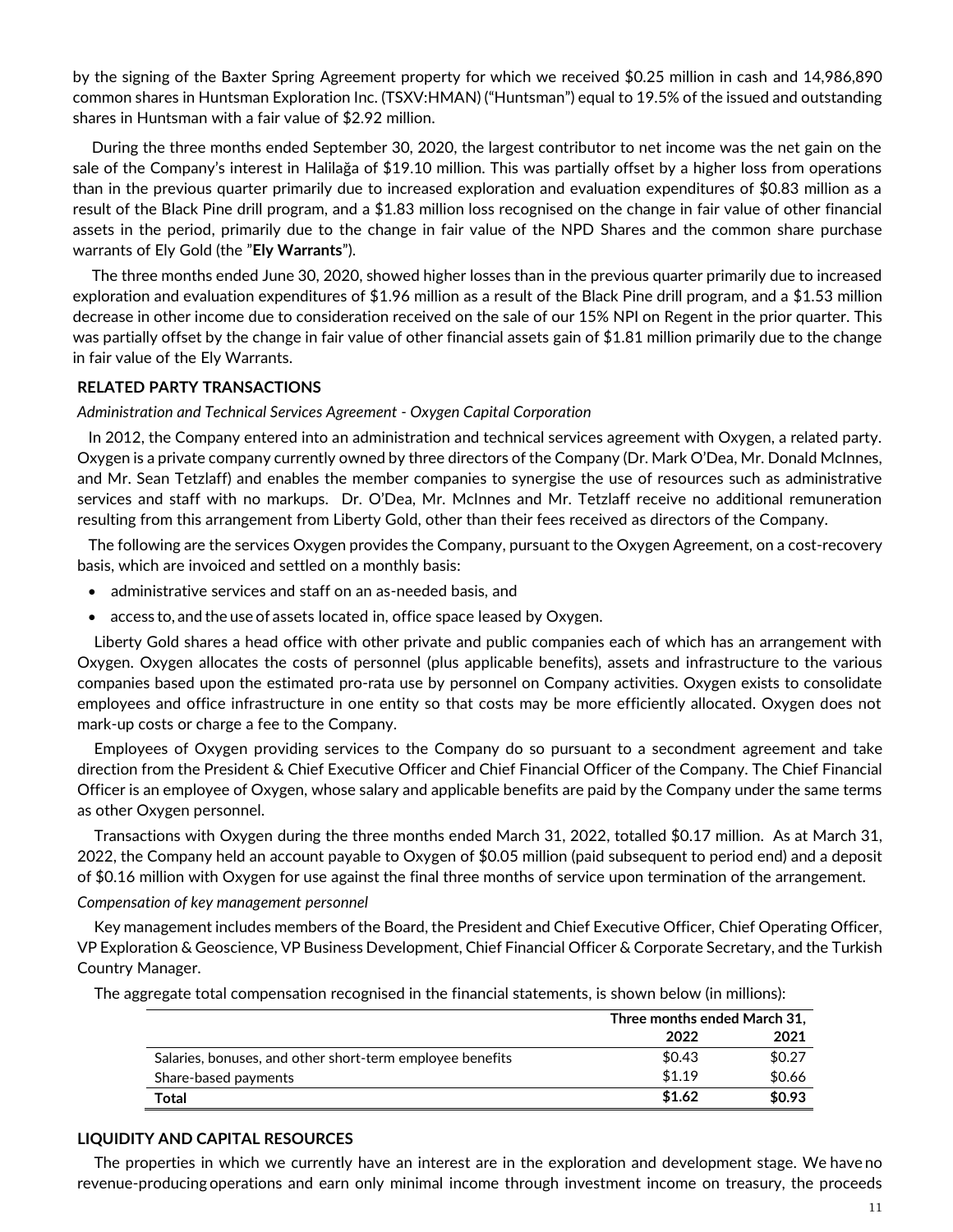by the signing of the Baxter Spring Agreement property for which we received \$0.25 million in cash and 14,986,890 common shares in Huntsman Exploration Inc. (TSXV:HMAN) ("Huntsman") equal to 19.5% of the issued and outstanding shares in Huntsman with a fair value of \$2.92 million.

During the three months ended September 30, 2020, the largest contributor to net income was the net gain on the sale of the Company's interest in Halilağa of \$19.10 million. This was partially offset by a higher loss from operations than in the previous quarter primarily due to increased exploration and evaluation expenditures of \$0.83 million as a result of the Black Pine drill program, and a \$1.83 million loss recognised on the change in fair value of other financial assets in the period, primarily due to the change in fair value of the NPD Shares and the common share purchase warrants of Ely Gold (the "**Ely Warrants**").

The three months ended June 30, 2020, showed higher losses than in the previous quarter primarily due to increased exploration and evaluation expenditures of \$1.96 million as a result of the Black Pine drill program, and a \$1.53 million decrease in other income due to consideration received on the sale of our 15% NPI on Regent in the prior quarter. This was partially offset by the change in fair value of other financial assets gain of \$1.81 million primarily due to the change in fair value of the Ely Warrants.

### **RELATED PARTY TRANSACTIONS**

### *Administration and Technical Services Agreement - Oxygen Capital Corporation*

In 2012, the Company entered into an administration and technical services agreement with Oxygen, a related party. Oxygen is a private company currently owned by three directors of the Company (Dr. Mark O'Dea, Mr. Donald McInnes, and Mr. Sean Tetzlaff) and enables the member companies to synergise the use of resources such as administrative services and staff with no markups. Dr. O'Dea, Mr. McInnes and Mr. Tetzlaff receive no additional remuneration resulting from this arrangement from Liberty Gold, other than their fees received as directors of the Company.

The following are the services Oxygen provides the Company, pursuant to the Oxygen Agreement, on a cost-recovery basis, which are invoiced and settled on a monthly basis:

- administrative services and staff on an as-needed basis, and
- access to, and the use of assets located in, office space leased by Oxygen.

Liberty Gold shares a head office with other private and public companies each of which has an arrangement with Oxygen. Oxygen allocates the costs of personnel (plus applicable benefits), assets and infrastructure to the various companies based upon the estimated pro-rata use by personnel on Company activities. Oxygen exists to consolidate employees and office infrastructure in one entity so that costs may be more efficiently allocated. Oxygen does not mark-up costs or charge a fee to the Company.

Employees of Oxygen providing services to the Company do so pursuant to a secondment agreement and take direction from the President & Chief Executive Officer and Chief Financial Officer of the Company. The Chief Financial Officer is an employee of Oxygen, whose salary and applicable benefits are paid by the Company under the same terms as other Oxygen personnel.

Transactions with Oxygen during the three months ended March 31, 2022, totalled \$0.17 million. As at March 31, 2022, the Company held an account payable to Oxygen of \$0.05 million (paid subsequent to period end) and a deposit of \$0.16 million with Oxygen for use against the final three months of service upon termination of the arrangement.

### *Compensation of key management personnel*

Key management includes members of the Board, the President and Chief Executive Officer, Chief Operating Officer, VP Exploration & Geoscience, VP Business Development, Chief Financial Officer & Corporate Secretary, and the Turkish Country Manager.

| The aggregate total compensation recognised in the financial statements, is shown below (in millions): |  |  |  |  |  |  |  |  |
|--------------------------------------------------------------------------------------------------------|--|--|--|--|--|--|--|--|
|--------------------------------------------------------------------------------------------------------|--|--|--|--|--|--|--|--|

|                                                           | Three months ended March 31, |        |  |
|-----------------------------------------------------------|------------------------------|--------|--|
|                                                           | 2022                         | 2021   |  |
| Salaries, bonuses, and other short-term employee benefits | \$0.43                       | \$0.27 |  |
| Share-based payments                                      | \$1.19                       | \$0.66 |  |
| Total                                                     | \$1.62                       | \$0.93 |  |

## **LIQUIDITY AND CAPITAL RESOURCES**

The properties in which we currently have an interest are in the exploration and development stage. We have no revenue-producing operations and earn only minimal income through investment income on treasury, the proceeds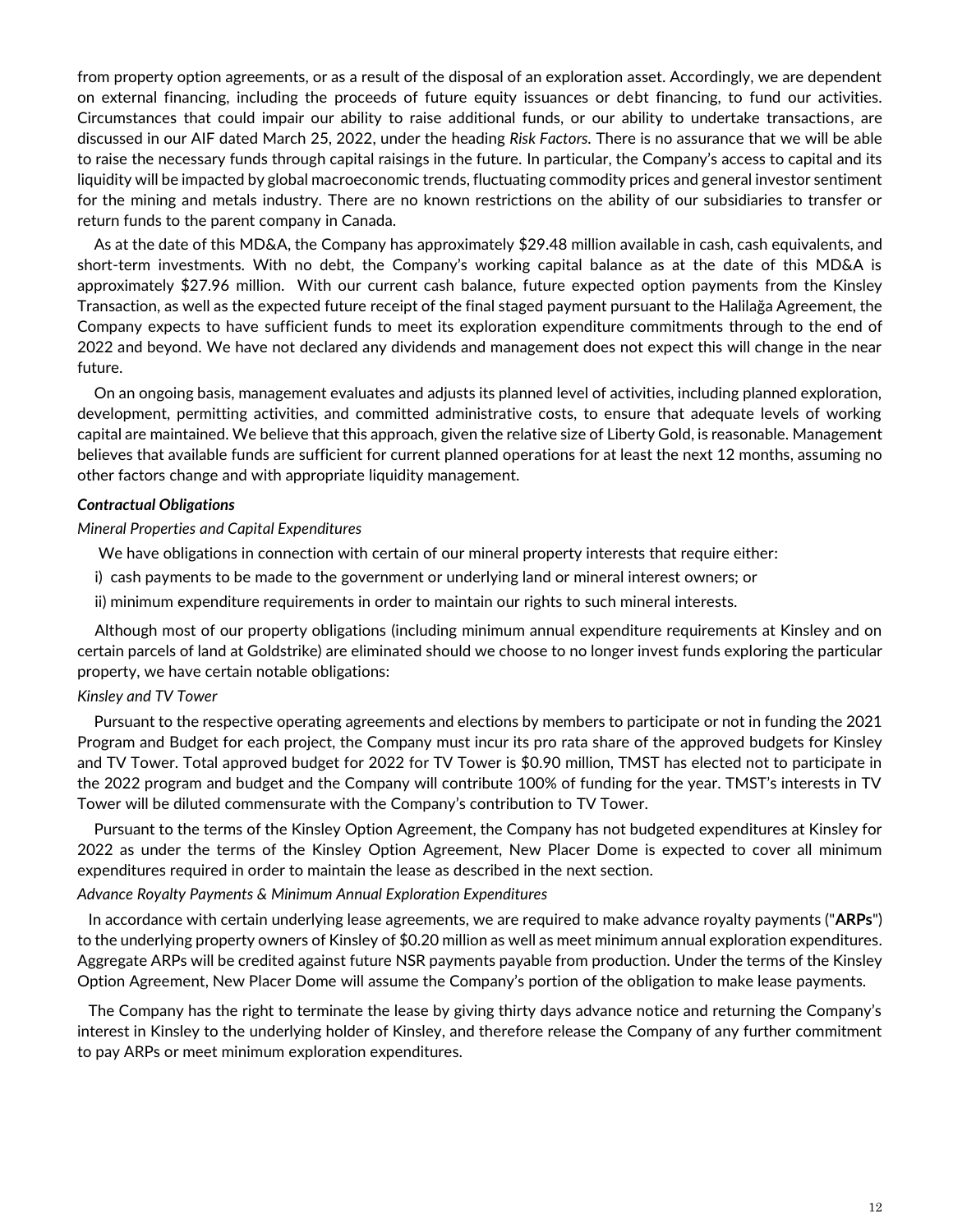from property option agreements, or as a result of the disposal of an exploration asset. Accordingly, we are dependent on external financing, including the proceeds of future equity issuances or debt financing, to fund our activities. Circumstances that could impair our ability to raise additional funds, or our ability to undertake transactions, are discussed in our AIF dated March 25, 2022, under the heading *Risk Factors.* There is no assurance that we will be able to raise the necessary funds through capital raisings in the future. In particular, the Company's access to capital and its liquidity will be impacted by global macroeconomic trends, fluctuating commodity prices and general investor sentiment for the mining and metals industry. There are no known restrictions on the ability of our subsidiaries to transfer or return funds to the parent company in Canada.

As at the date of this MD&A, the Company has approximately \$29.48 million available in cash, cash equivalents, and short-term investments. With no debt, the Company's working capital balance as at the date of this MD&A is approximately \$27.96 million. With our current cash balance, future expected option payments from the Kinsley Transaction, as well as the expected future receipt of the final staged payment pursuant to the Halilağa Agreement, the Company expects to have sufficient funds to meet its exploration expenditure commitments through to the end of 2022 and beyond. We have not declared any dividends and management does not expect this will change in the near future.

On an ongoing basis, management evaluates and adjusts its planned level of activities, including planned exploration, development, permitting activities, and committed administrative costs, to ensure that adequate levels of working capital are maintained. We believe that this approach, given the relative size of Liberty Gold, is reasonable. Management believes that available funds are sufficient for current planned operations for at least the next 12 months, assuming no other factors change and with appropriate liquidity management.

### *Contractual Obligations*

## *Mineral Properties and Capital Expenditures*

- We have obligations in connection with certain of our mineral property interests that require either:
- i) cash payments to be made to the government or underlying land or mineral interest owners; or
- ii) minimum expenditure requirements in order to maintain our rights to such mineral interests.

Although most of our property obligations (including minimum annual expenditure requirements at Kinsley and on certain parcels of land at Goldstrike) are eliminated should we choose to no longer invest funds exploring the particular property, we have certain notable obligations:

### *Kinsley and TV Tower*

Pursuant to the respective operating agreements and elections by members to participate or not in funding the 2021 Program and Budget for each project, the Company must incur its pro rata share of the approved budgets for Kinsley and TV Tower. Total approved budget for 2022 for TV Tower is \$0.90 million, TMST has elected not to participate in the 2022 program and budget and the Company will contribute 100% of funding for the year. TMST's interests in TV Tower will be diluted commensurate with the Company's contribution to TV Tower.

Pursuant to the terms of the Kinsley Option Agreement, the Company has not budgeted expenditures at Kinsley for 2022 as under the terms of the Kinsley Option Agreement, New Placer Dome is expected to cover all minimum expenditures required in order to maintain the lease as described in the next section.

## *Advance Royalty Payments & Minimum Annual Exploration Expenditures*

In accordance with certain underlying lease agreements, we are required to make advance royalty payments ("**ARPs**") to the underlying property owners of Kinsley of \$0.20 million as well as meet minimum annual exploration expenditures. Aggregate ARPs will be credited against future NSR payments payable from production. Under the terms of the Kinsley Option Agreement, New Placer Dome will assume the Company's portion of the obligation to make lease payments.

The Company has the right to terminate the lease by giving thirty days advance notice and returning the Company's interest in Kinsley to the underlying holder of Kinsley, and therefore release the Company of any further commitment to pay ARPs or meet minimum exploration expenditures.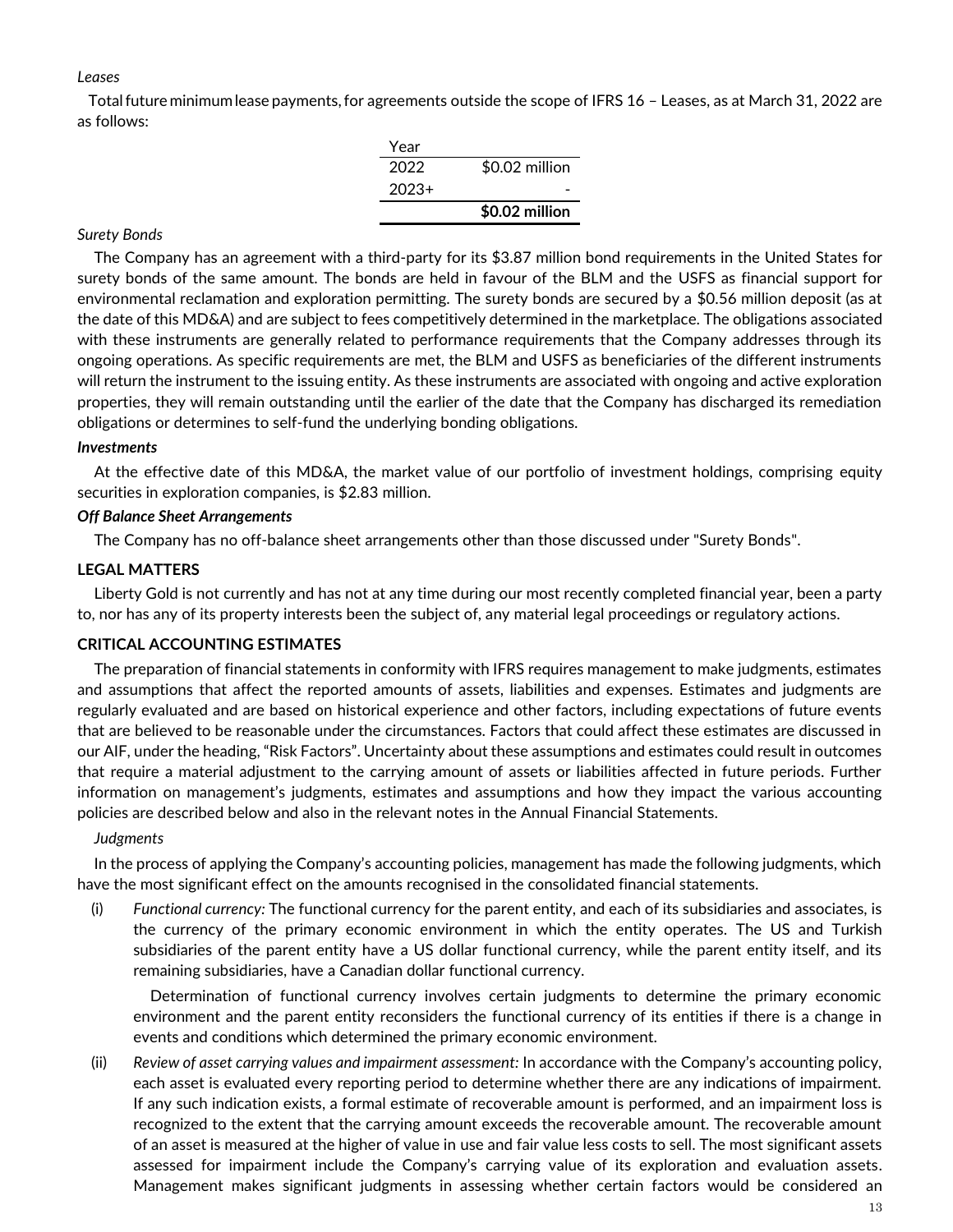### *Leases*

Totalfuture minimumlease payments,for agreements outside the scope of IFRS 16 – Leases, as at March 31, 2022 are as follows:

| Year    |                |
|---------|----------------|
| 2022    | \$0.02 million |
| $2023+$ |                |
|         | \$0.02 million |

## *Surety Bonds*

The Company has an agreement with a third-party for its \$3.87 million bond requirements in the United States for surety bonds of the same amount. The bonds are held in favour of the BLM and the USFS as financial support for environmental reclamation and exploration permitting. The surety bonds are secured by a \$0.56 million deposit (as at the date of this MD&A) and are subject to fees competitively determined in the marketplace. The obligations associated with these instruments are generally related to performance requirements that the Company addresses through its ongoing operations. As specific requirements are met, the BLM and USFS as beneficiaries of the different instruments will return the instrument to the issuing entity. As these instruments are associated with ongoing and active exploration properties, they will remain outstanding until the earlier of the date that the Company has discharged its remediation obligations or determines to self-fund the underlying bonding obligations.

## *Investments*

At the effective date of this MD&A, the market value of our portfolio of investment holdings, comprising equity securities in exploration companies, is \$2.83 million.

# *Off Balance Sheet Arrangements*

The Company has no off-balance sheet arrangements other than those discussed under "Surety Bonds".

# **LEGAL MATTERS**

Liberty Gold is not currently and has not at any time during our most recently completed financial year, been a party to, nor has any of its property interests been the subject of, any material legal proceedings or regulatory actions.

# **CRITICAL ACCOUNTING ESTIMATES**

The preparation of financial statements in conformity with IFRS requires management to make judgments, estimates and assumptions that affect the reported amounts of assets, liabilities and expenses. Estimates and judgments are regularly evaluated and are based on historical experience and other factors, including expectations of future events that are believed to be reasonable under the circumstances. Factors that could affect these estimates are discussed in our AIF, under the heading, "Risk Factors". Uncertainty about these assumptions and estimates could result in outcomes that require a material adjustment to the carrying amount of assets or liabilities affected in future periods. Further information on management's judgments, estimates and assumptions and how they impact the various accounting policies are described below and also in the relevant notes in the Annual Financial Statements.

## *Judgments*

In the process of applying the Company's accounting policies, management has made the following judgments, which have the most significant effect on the amounts recognised in the consolidated financial statements.

(i) *Functional currency:* The functional currency for the parent entity, and each of its subsidiaries and associates, is the currency of the primary economic environment in which the entity operates. The US and Turkish subsidiaries of the parent entity have a US dollar functional currency, while the parent entity itself, and its remaining subsidiaries, have a Canadian dollar functional currency.

Determination of functional currency involves certain judgments to determine the primary economic environment and the parent entity reconsiders the functional currency of its entities if there is a change in events and conditions which determined the primary economic environment.

(ii) *Review of asset carrying values and impairment assessment:* In accordance with the Company's accounting policy, each asset is evaluated every reporting period to determine whether there are any indications of impairment. If any such indication exists, a formal estimate of recoverable amount is performed, and an impairment loss is recognized to the extent that the carrying amount exceeds the recoverable amount. The recoverable amount of an asset is measured at the higher of value in use and fair value less costs to sell. The most significant assets assessed for impairment include the Company's carrying value of its exploration and evaluation assets. Management makes significant judgments in assessing whether certain factors would be considered an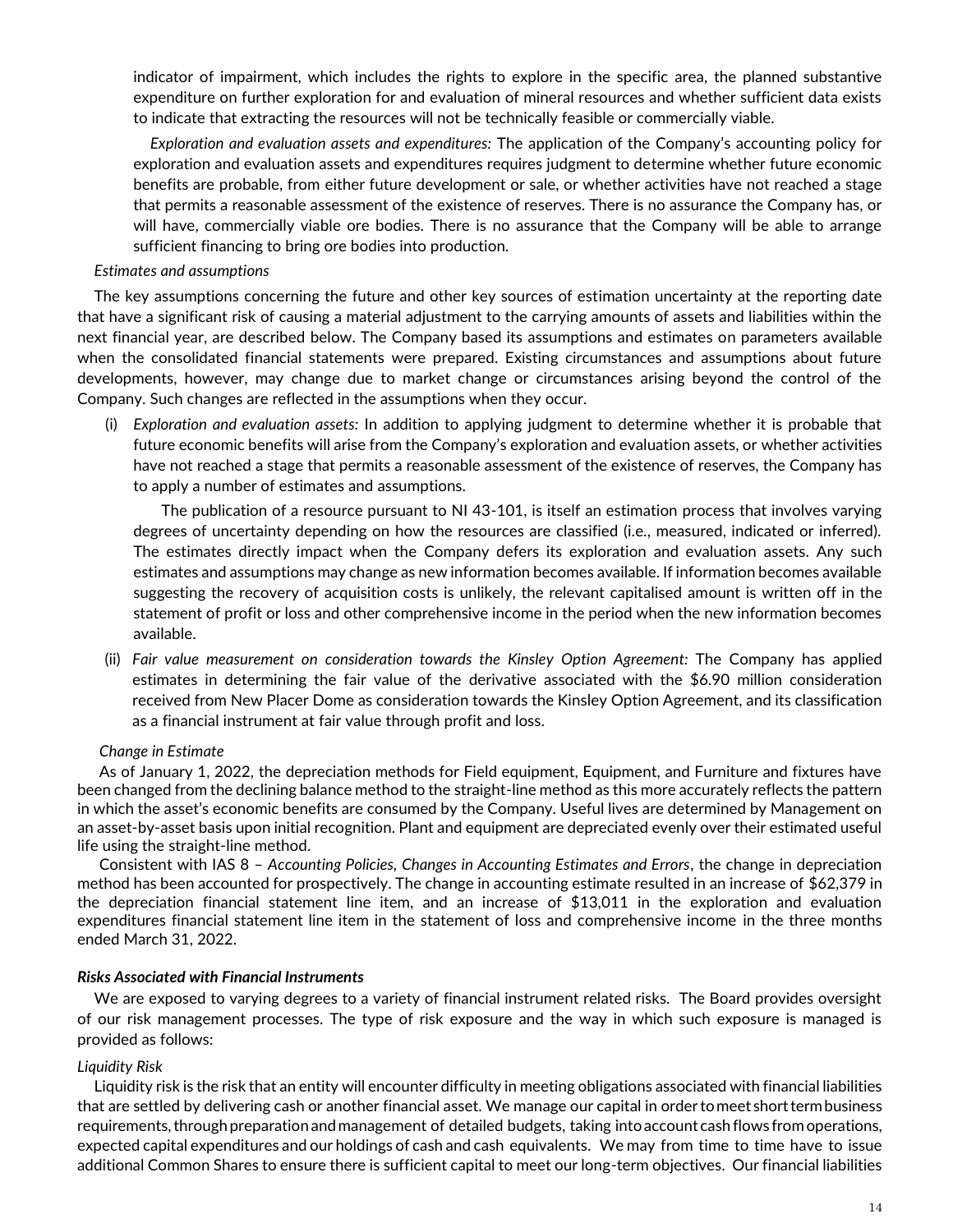indicator of impairment, which includes the rights to explore in the specific area, the planned substantive expenditure on further exploration for and evaluation of mineral resources and whether sufficient data exists to indicate that extracting the resources will not be technically feasible or commercially viable.

*Exploration and evaluation assets and expenditures:* The application of the Company's accounting policy for exploration and evaluation assets and expenditures requires judgment to determine whether future economic benefits are probable, from either future development or sale, or whether activities have not reached a stage that permits a reasonable assessment of the existence of reserves. There is no assurance the Company has, or will have, commercially viable ore bodies. There is no assurance that the Company will be able to arrange sufficient financing to bring ore bodies into production.

### *Estimates and assumptions*

The key assumptions concerning the future and other key sources of estimation uncertainty at the reporting date that have a significant risk of causing a material adjustment to the carrying amounts of assets and liabilities within the next financial year, are described below. The Company based its assumptions and estimates on parameters available when the consolidated financial statements were prepared. Existing circumstances and assumptions about future developments, however, may change due to market change or circumstances arising beyond the control of the Company. Such changes are reflected in the assumptions when they occur.

(i) *Exploration and evaluation assets:* In addition to applying judgment to determine whether it is probable that future economic benefits will arise from the Company's exploration and evaluation assets, or whether activities have not reached a stage that permits a reasonable assessment of the existence of reserves, the Company has to apply a number of estimates and assumptions.

The publication of a resource pursuant to NI 43-101, is itself an estimation process that involves varying degrees of uncertainty depending on how the resources are classified (i.e., measured, indicated or inferred). The estimates directly impact when the Company defers its exploration and evaluation assets. Any such estimates and assumptions may change as new information becomes available. If information becomes available suggesting the recovery of acquisition costs is unlikely, the relevant capitalised amount is written off in the statement of profit or loss and other comprehensive income in the period when the new information becomes available.

(ii) *Fair value measurement on consideration towards the Kinsley Option Agreement:* The Company has applied estimates in determining the fair value of the derivative associated with the \$6.90 million consideration received from New Placer Dome as consideration towards the Kinsley Option Agreement, and its classification as a financial instrument at fair value through profit and loss.

### *Change in Estimate*

As of January 1, 2022, the depreciation methods for Field equipment, Equipment, and Furniture and fixtures have been changed from the declining balance method to the straight-line method as this more accurately reflects the pattern in which the asset's economic benefits are consumed by the Company. Useful lives are determined by Management on an asset-by-asset basis upon initial recognition. Plant and equipment are depreciated evenly over their estimated useful life using the straight-line method.

Consistent with IAS 8 – *Accounting Policies, Changes in Accounting Estimates and Errors*, the change in depreciation method has been accounted for prospectively. The change in accounting estimate resulted in an increase of \$62,379 in the depreciation financial statement line item, and an increase of \$13,011 in the exploration and evaluation expenditures financial statement line item in the statement of loss and comprehensive income in the three months ended March 31, 2022.

### *Risks Associated with Financial Instruments*

We are exposed to varying degrees to a variety of financial instrument related risks. The Board provides oversight of our risk management processes. The type of risk exposure and the way in which such exposure is managed is provided as follows:

### *Liquidity Risk*

Liquidity risk is the risk that an entity will encounter difficulty in meeting obligations associated with financial liabilities that are settled by delivering cash or another financial asset. We manage our capital in ordertomeet shorttermbusiness requirements, through preparation and management of detailed budgets, taking into account cash flows from operations, expected capital expenditures and our holdings of cash and cash equivalents. We may from time to time have to issue additional Common Shares to ensure there is sufficient capital to meet our long-term objectives. Our financial liabilities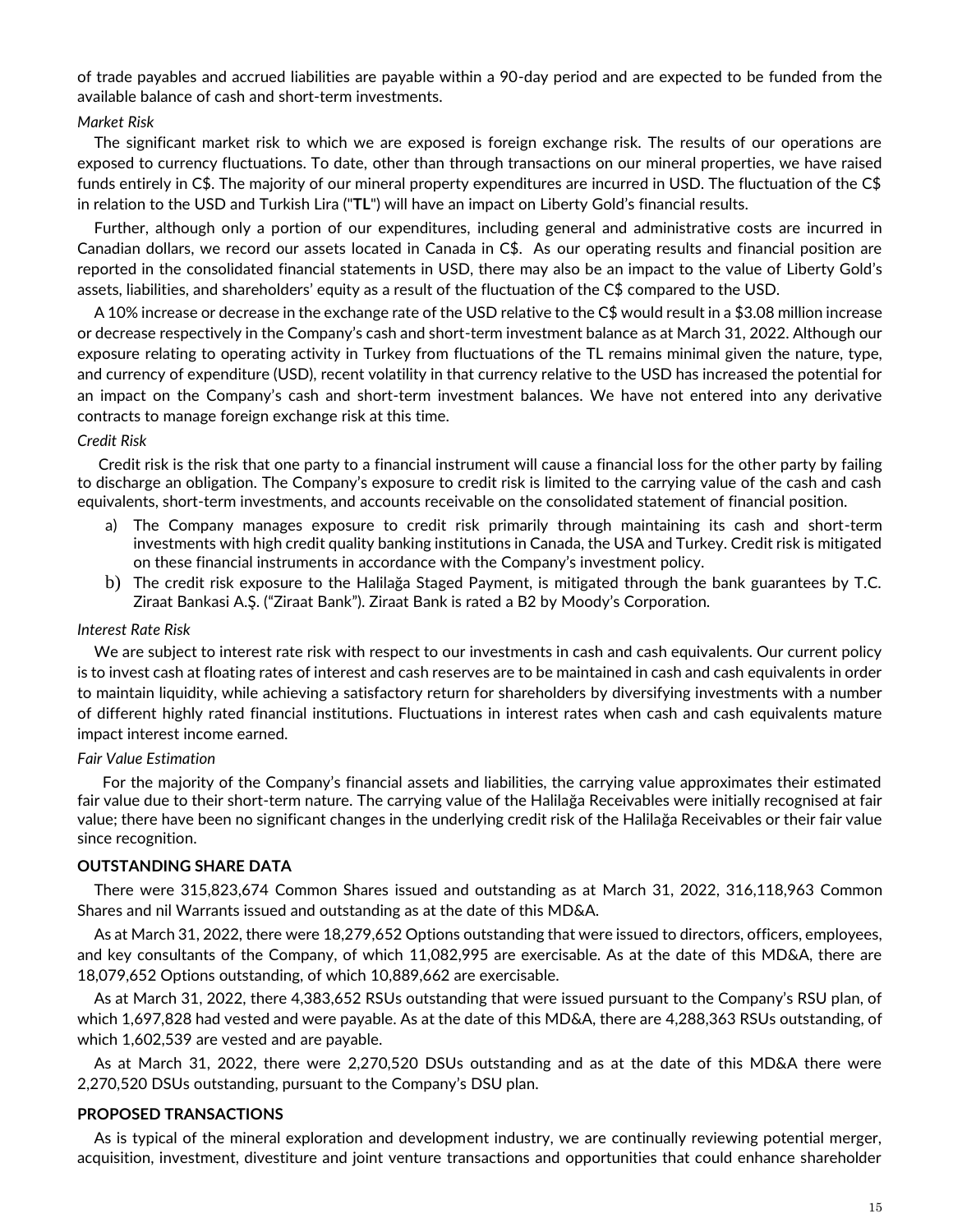of trade payables and accrued liabilities are payable within a 90-day period and are expected to be funded from the available balance of cash and short-term investments.

### *Market Risk*

The significant market risk to which we are exposed is foreign exchange risk. The results of our operations are exposed to currency fluctuations. To date, other than through transactions on our mineral properties, we have raised funds entirely in C\$. The majority of our mineral property expenditures are incurred in USD. The fluctuation of the C\$ in relation to the USD and Turkish Lira ("**TL**") will have an impact on Liberty Gold's financial results.

Further, although only a portion of our expenditures, including general and administrative costs are incurred in Canadian dollars, we record our assets located in Canada in C\$. As our operating results and financial position are reported in the consolidated financial statements in USD, there may also be an impact to the value of Liberty Gold's assets, liabilities, and shareholders' equity as a result of the fluctuation of the C\$ compared to the USD.

A 10% increase or decrease in the exchange rate of the USD relative to the C\$ would result in a \$3.08 million increase or decrease respectively in the Company's cash and short-term investment balance as at March 31, 2022. Although our exposure relating to operating activity in Turkey from fluctuations of the TL remains minimal given the nature, type, and currency of expenditure (USD), recent volatility in that currency relative to the USD has increased the potential for an impact on the Company's cash and short-term investment balances. We have not entered into any derivative contracts to manage foreign exchange risk at this time.

### *Credit Risk*

Credit risk is the risk that one party to a financial instrument will cause a financial loss for the other party by failing to discharge an obligation. The Company's exposure to credit risk is limited to the carrying value of the cash and cash equivalents, short-term investments, and accounts receivable on the consolidated statement of financial position.

- a) The Company manages exposure to credit risk primarily through maintaining its cash and short-term investments with high credit quality banking institutions in Canada, the USA and Turkey. Credit risk is mitigated on these financial instruments in accordance with the Company's investment policy.
- b) The credit risk exposure to the Halilağa Staged Payment, is mitigated through the bank guarantees by T.C. Ziraat Bankasi A.Ş. ("Ziraat Bank"). Ziraat Bank is rated a B2 by Moody's Corporation.

### *Interest Rate Risk*

We are subject to interest rate risk with respect to our investments in cash and cash equivalents. Our current policy is to invest cash at floating rates of interest and cash reserves are to be maintained in cash and cash equivalents in order to maintain liquidity, while achieving a satisfactory return for shareholders by diversifying investments with a number of different highly rated financial institutions. Fluctuations in interest rates when cash and cash equivalents mature impact interest income earned.

### *Fair Value Estimation*

For the majority of the Company's financial assets and liabilities, the carrying value approximates their estimated fair value due to their short-term nature. The carrying value of the Halilağa Receivables were initially recognised at fair value; there have been no significant changes in the underlying credit risk of the Halilağa Receivables or their fair value since recognition.

### **OUTSTANDING SHARE DATA**

There were 315,823,674 Common Shares issued and outstanding as at March 31, 2022, 316,118,963 Common Shares and nil Warrants issued and outstanding as at the date of this MD&A.

As at March 31, 2022, there were 18,279,652 Options outstanding that were issued to directors, officers, employees, and key consultants of the Company, of which 11,082,995 are exercisable. As at the date of this MD&A, there are 18,079,652 Options outstanding, of which 10,889,662 are exercisable.

As at March 31, 2022, there 4,383,652 RSUs outstanding that were issued pursuant to the Company's RSU plan, of which 1,697,828 had vested and were payable. As at the date of this MD&A, there are 4,288,363 RSUs outstanding, of which 1,602,539 are vested and are payable.

As at March 31, 2022, there were 2,270,520 DSUs outstanding and as at the date of this MD&A there were 2,270,520 DSUs outstanding, pursuant to the Company's DSU plan.

### **PROPOSED TRANSACTIONS**

As is typical of the mineral exploration and development industry, we are continually reviewing potential merger, acquisition, investment, divestiture and joint venture transactions and opportunities that could enhance shareholder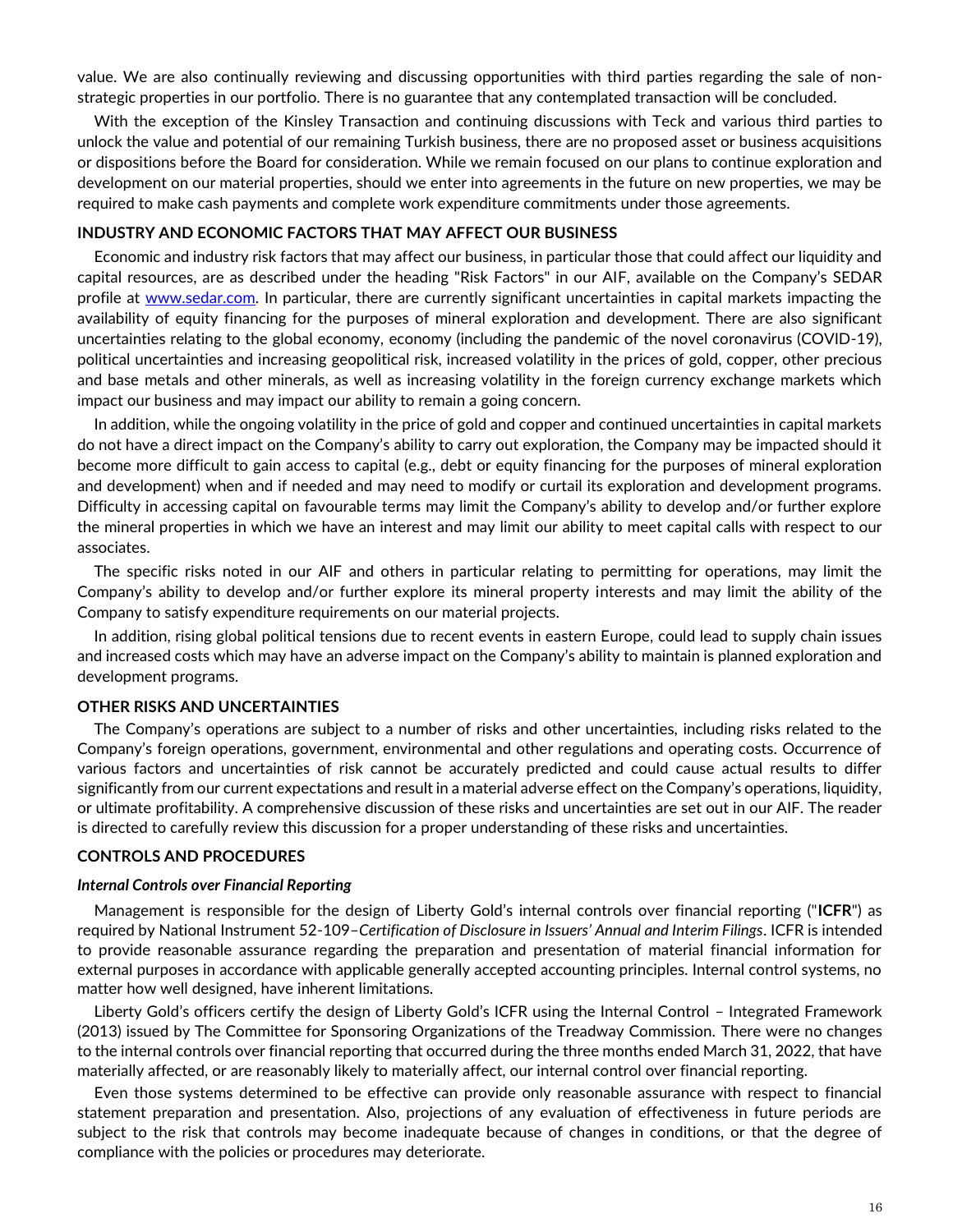value. We are also continually reviewing and discussing opportunities with third parties regarding the sale of nonstrategic properties in our portfolio. There is no guarantee that any contemplated transaction will be concluded.

With the exception of the Kinsley Transaction and continuing discussions with Teck and various third parties to unlock the value and potential of our remaining Turkish business, there are no proposed asset or business acquisitions or dispositions before the Board for consideration. While we remain focused on our plans to continue exploration and development on our material properties, should we enter into agreements in the future on new properties, we may be required to make cash payments and complete work expenditure commitments under those agreements.

#### **INDUSTRY AND ECONOMIC FACTORS THAT MAY AFFECT OUR BUSINESS**

Economic and industry risk factors that may affect our business, in particular those that could affect our liquidity and capital resources, are as described under the heading "Risk Factors" in our AIF, available on the Company's SEDAR profile at [www.sedar.com.](http://www.sedar.com/) In particular, there are currently significant uncertainties in capital markets impacting the availability of equity financing for the purposes of mineral exploration and development. There are also significant uncertainties relating to the global economy, economy (including the pandemic of the novel coronavirus (COVID-19), political uncertainties and increasing geopolitical risk, increased volatility in the prices of gold, copper, other precious and base metals and other minerals, as well as increasing volatility in the foreign currency exchange markets which impact our business and may impact our ability to remain a going concern.

In addition, while the ongoing volatility in the price of gold and copper and continued uncertainties in capital markets do not have a direct impact on the Company's ability to carry out exploration, the Company may be impacted should it become more difficult to gain access to capital (e.g., debt or equity financing for the purposes of mineral exploration and development) when and if needed and may need to modify or curtail its exploration and development programs. Difficulty in accessing capital on favourable terms may limit the Company's ability to develop and/or further explore the mineral properties in which we have an interest and may limit our ability to meet capital calls with respect to our associates.

The specific risks noted in our AIF and others in particular relating to permitting for operations, may limit the Company's ability to develop and/or further explore its mineral property interests and may limit the ability of the Company to satisfy expenditure requirements on our material projects.

In addition, rising global political tensions due to recent events in eastern Europe, could lead to supply chain issues and increased costs which may have an adverse impact on the Company's ability to maintain is planned exploration and development programs.

#### **OTHER RISKS AND UNCERTAINTIES**

The Company's operations are subject to a number of risks and other uncertainties, including risks related to the Company's foreign operations, government, environmental and other regulations and operating costs. Occurrence of various factors and uncertainties of risk cannot be accurately predicted and could cause actual results to differ significantly from our current expectations and result in a material adverse effect on the Company's operations, liquidity, or ultimate profitability. A comprehensive discussion of these risks and uncertainties are set out in our AIF. The reader is directed to carefully review this discussion for a proper understanding of these risks and uncertainties.

### **CONTROLS AND PROCEDURES**

#### *Internal Controls over Financial Reporting*

Management is responsible for the design of Liberty Gold's internal controls over financial reporting ("**ICFR**") as required by National Instrument 52-109–*Certification of Disclosure in Issuers' Annual and Interim Filings*. ICFR is intended to provide reasonable assurance regarding the preparation and presentation of material financial information for external purposes in accordance with applicable generally accepted accounting principles. Internal control systems, no matter how well designed, have inherent limitations.

Liberty Gold's officers certify the design of Liberty Gold's ICFR using the Internal Control – Integrated Framework (2013) issued by The Committee for Sponsoring Organizations of the Treadway Commission. There were no changes to the internal controls over financial reporting that occurred during the three months ended March 31, 2022, that have materially affected, or are reasonably likely to materially affect, our internal control over financial reporting.

Even those systems determined to be effective can provide only reasonable assurance with respect to financial statement preparation and presentation. Also, projections of any evaluation of effectiveness in future periods are subject to the risk that controls may become inadequate because of changes in conditions, or that the degree of compliance with the policies or procedures may deteriorate.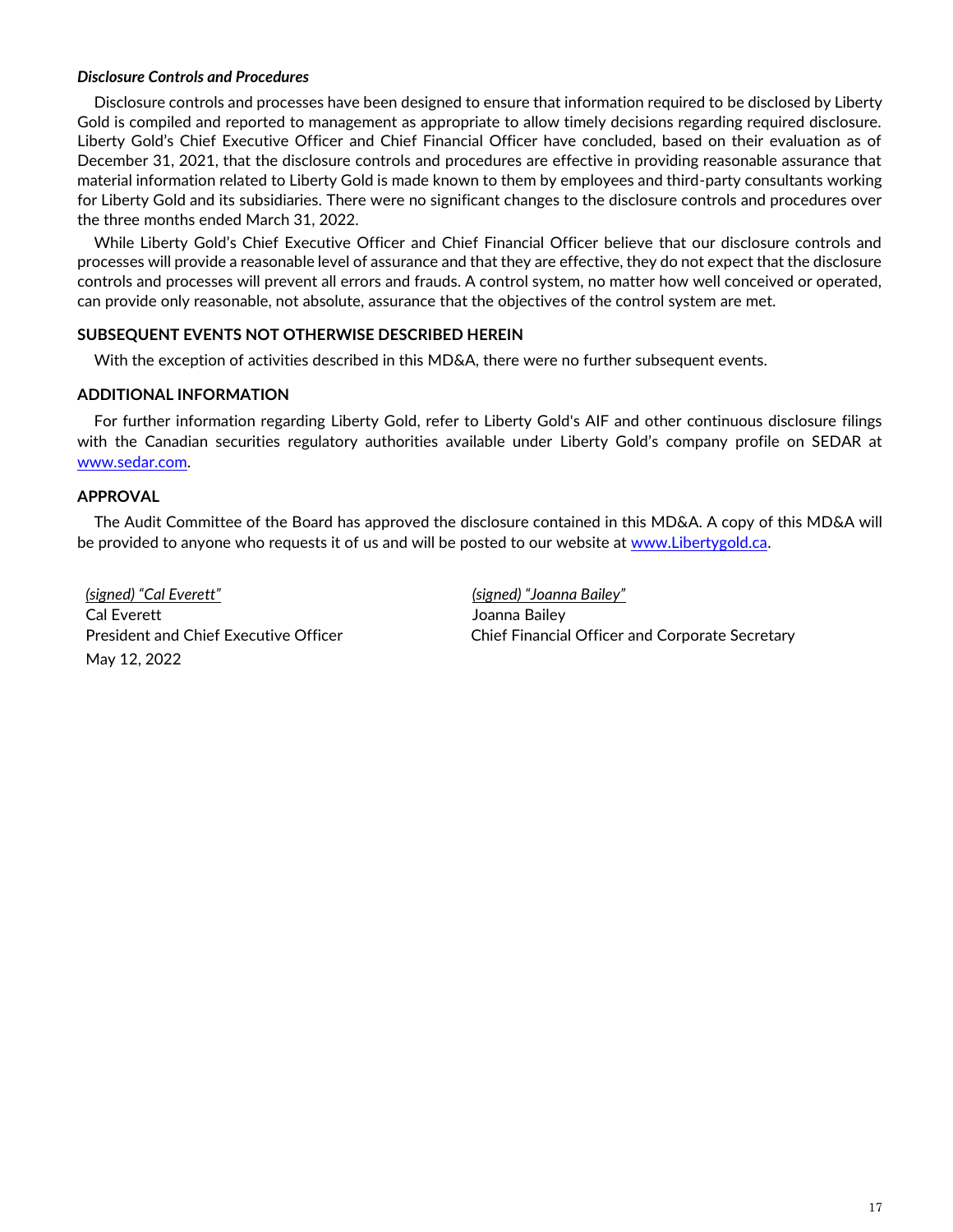## *Disclosure Controls and Procedures*

Disclosure controls and processes have been designed to ensure that information required to be disclosed by Liberty Gold is compiled and reported to management as appropriate to allow timely decisions regarding required disclosure. Liberty Gold's Chief Executive Officer and Chief Financial Officer have concluded, based on their evaluation as of December 31, 2021, that the disclosure controls and procedures are effective in providing reasonable assurance that material information related to Liberty Gold is made known to them by employees and third-party consultants working for Liberty Gold and its subsidiaries. There were no significant changes to the disclosure controls and procedures over the three months ended March 31, 2022.

While Liberty Gold's Chief Executive Officer and Chief Financial Officer believe that our disclosure controls and processes will provide a reasonable level of assurance and that they are effective, they do not expect that the disclosure controls and processes will prevent all errors and frauds. A control system, no matter how well conceived or operated, can provide only reasonable, not absolute, assurance that the objectives of the control system are met.

## **SUBSEQUENT EVENTS NOT OTHERWISE DESCRIBED HEREIN**

With the exception of activities described in this MD&A, there were no further subsequent events.

## **ADDITIONAL INFORMATION**

For further information regarding Liberty Gold, refer to Liberty Gold's AIF and other continuous disclosure filings with the Canadian securities regulatory authorities available under Liberty Gold's company profile on SEDAR at [www.sedar.com.](http://www.sedar.com/)

## **APPROVAL**

The Audit Committee of the Board has approved the disclosure contained in this MD&A. A copy of this MD&A will be provided to anyone who requests it of us and will be posted to our website at [www.Libertygold.ca.](http://www.pilotgold.com/)

*(signed) "Cal Everett" (signed) "Joanna Bailey"*  Cal Everett **Cal Everett** All Cal Everett All Cal Everett All Cal Cal Comma Bailey May 12, 2022

President and Chief Executive Officer Chief Financial Officer and Corporate Secretary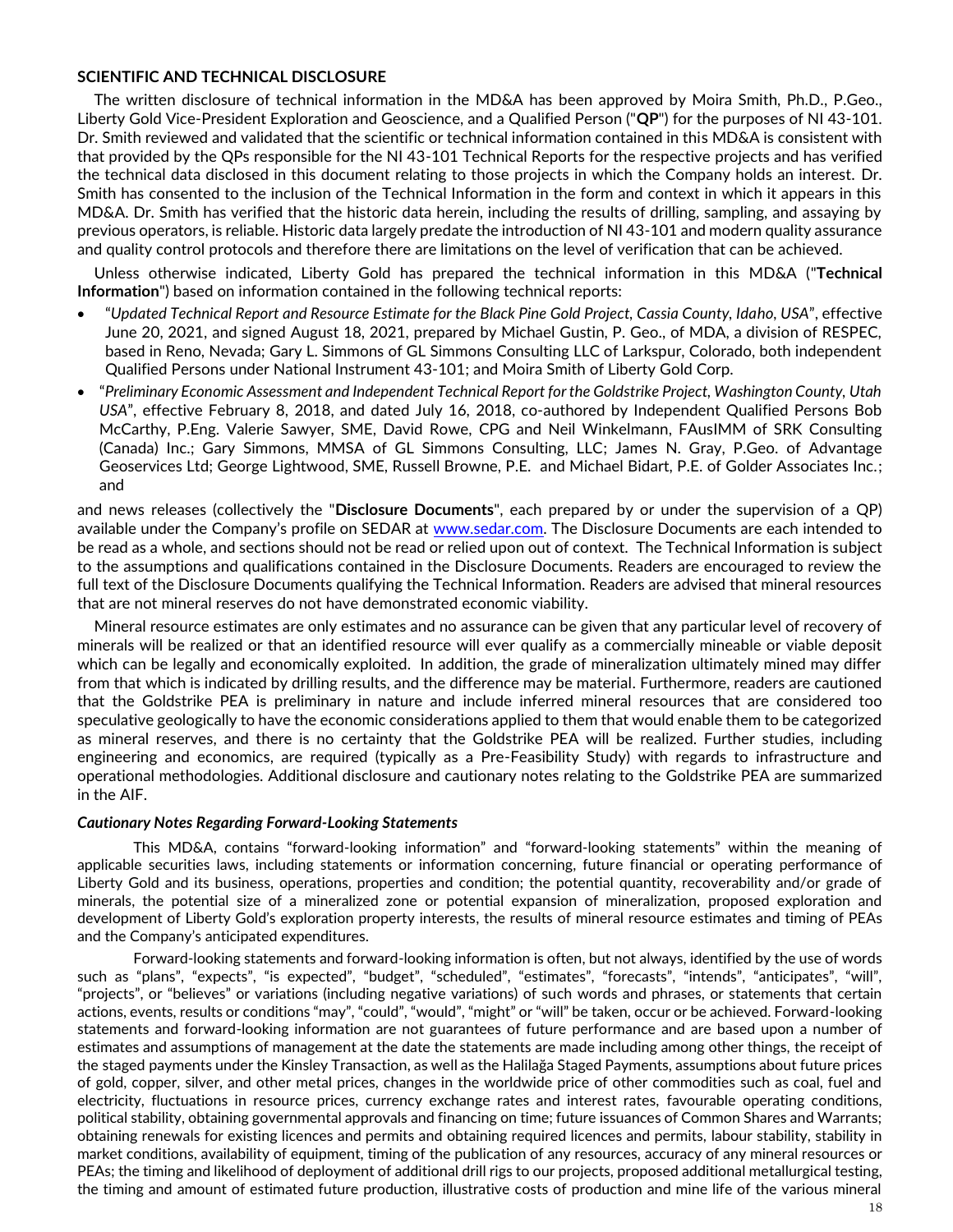### **SCIENTIFIC AND TECHNICAL DISCLOSURE**

The written disclosure of technical information in the MD&A has been approved by Moira Smith, Ph.D., P.Geo., Liberty Gold Vice-President Exploration and Geoscience, and a Qualified Person ("**QP**") for the purposes of NI 43-101. Dr. Smith reviewed and validated that the scientific or technical information contained in this MD&A is consistent with that provided by the QPs responsible for the NI 43-101 Technical Reports for the respective projects and has verified the technical data disclosed in this document relating to those projects in which the Company holds an interest. Dr. Smith has consented to the inclusion of the Technical Information in the form and context in which it appears in this MD&A. Dr. Smith has verified that the historic data herein, including the results of drilling, sampling, and assaying by previous operators, is reliable. Historic data largely predate the introduction of NI 43-101 and modern quality assurance and quality control protocols and therefore there are limitations on the level of verification that can be achieved.

Unless otherwise indicated, Liberty Gold has prepared the technical information in this MD&A ("**Technical Information**") based on information contained in the following technical reports:

- "*Updated Technical Report and Resource Estimate for the Black Pine Gold Project, Cassia County, Idaho, USA*", effective June 20, 2021, and signed August 18, 2021, prepared by Michael Gustin, P. Geo., of MDA, a division of RESPEC, based in Reno, Nevada; Gary L. Simmons of GL Simmons Consulting LLC of Larkspur, Colorado, both independent Qualified Persons under National Instrument 43-101; and Moira Smith of Liberty Gold Corp.
- "*Preliminary Economic Assessment and Independent Technical Report for the Goldstrike Project, Washington County, Utah USA*", effective February 8, 2018, and dated July 16, 2018, co-authored by Independent Qualified Persons Bob McCarthy, P.Eng. Valerie Sawyer, SME, David Rowe, CPG and Neil Winkelmann, FAusIMM of SRK Consulting (Canada) Inc.; Gary Simmons, MMSA of GL Simmons Consulting, LLC; James N. Gray, P.Geo. of Advantage Geoservices Ltd; George Lightwood, SME, Russell Browne, P.E. and Michael Bidart, P.E. of Golder Associates Inc.; and

and news releases (collectively the "**Disclosure Documents**", each prepared by or under the supervision of a QP) available under the Company's profile on SEDAR at [www.sedar.com.](http://www.sedar.com/) The Disclosure Documents are each intended to be read as a whole, and sections should not be read or relied upon out of context. The Technical Information is subject to the assumptions and qualifications contained in the Disclosure Documents. Readers are encouraged to review the full text of the Disclosure Documents qualifying the Technical Information. Readers are advised that mineral resources that are not mineral reserves do not have demonstrated economic viability.

Mineral resource estimates are only estimates and no assurance can be given that any particular level of recovery of minerals will be realized or that an identified resource will ever qualify as a commercially mineable or viable deposit which can be legally and economically exploited. In addition, the grade of mineralization ultimately mined may differ from that which is indicated by drilling results, and the difference may be material. Furthermore, readers are cautioned that the Goldstrike PEA is preliminary in nature and include inferred mineral resources that are considered too speculative geologically to have the economic considerations applied to them that would enable them to be categorized as mineral reserves, and there is no certainty that the Goldstrike PEA will be realized. Further studies, including engineering and economics, are required (typically as a Pre-Feasibility Study) with regards to infrastructure and operational methodologies. Additional disclosure and cautionary notes relating to the Goldstrike PEA are summarized in the AIF.

### *Cautionary Notes Regarding Forward-Looking Statements*

This MD&A, contains "forward-looking information" and "forward-looking statements" within the meaning of applicable securities laws, including statements or information concerning, future financial or operating performance of Liberty Gold and its business, operations, properties and condition; the potential quantity, recoverability and/or grade of minerals, the potential size of a mineralized zone or potential expansion of mineralization, proposed exploration and development of Liberty Gold's exploration property interests, the results of mineral resource estimates and timing of PEAs and the Company's anticipated expenditures.

Forward-looking statements and forward-looking information is often, but not always, identified by the use of words such as "plans", "expects", "is expected", "budget", "scheduled", "estimates", "forecasts", "intends", "anticipates", "will", "projects", or "believes" or variations (including negative variations) of such words and phrases, or statements that certain actions, events, results or conditions "may", "could", "would", "might" or "will" be taken, occur or be achieved. Forward-looking statements and forward-looking information are not guarantees of future performance and are based upon a number of estimates and assumptions of management at the date the statements are made including among other things, the receipt of the staged payments under the Kinsley Transaction, as well as the Halilağa Staged Payments, assumptions about future prices of gold, copper, silver, and other metal prices, changes in the worldwide price of other commodities such as coal, fuel and electricity, fluctuations in resource prices, currency exchange rates and interest rates, favourable operating conditions, political stability, obtaining governmental approvals and financing on time; future issuances of Common Shares and Warrants; obtaining renewals for existing licences and permits and obtaining required licences and permits, labour stability, stability in market conditions, availability of equipment, timing of the publication of any resources, accuracy of any mineral resources or PEAs; the timing and likelihood of deployment of additional drill rigs to our projects, proposed additional metallurgical testing, the timing and amount of estimated future production, illustrative costs of production and mine life of the various mineral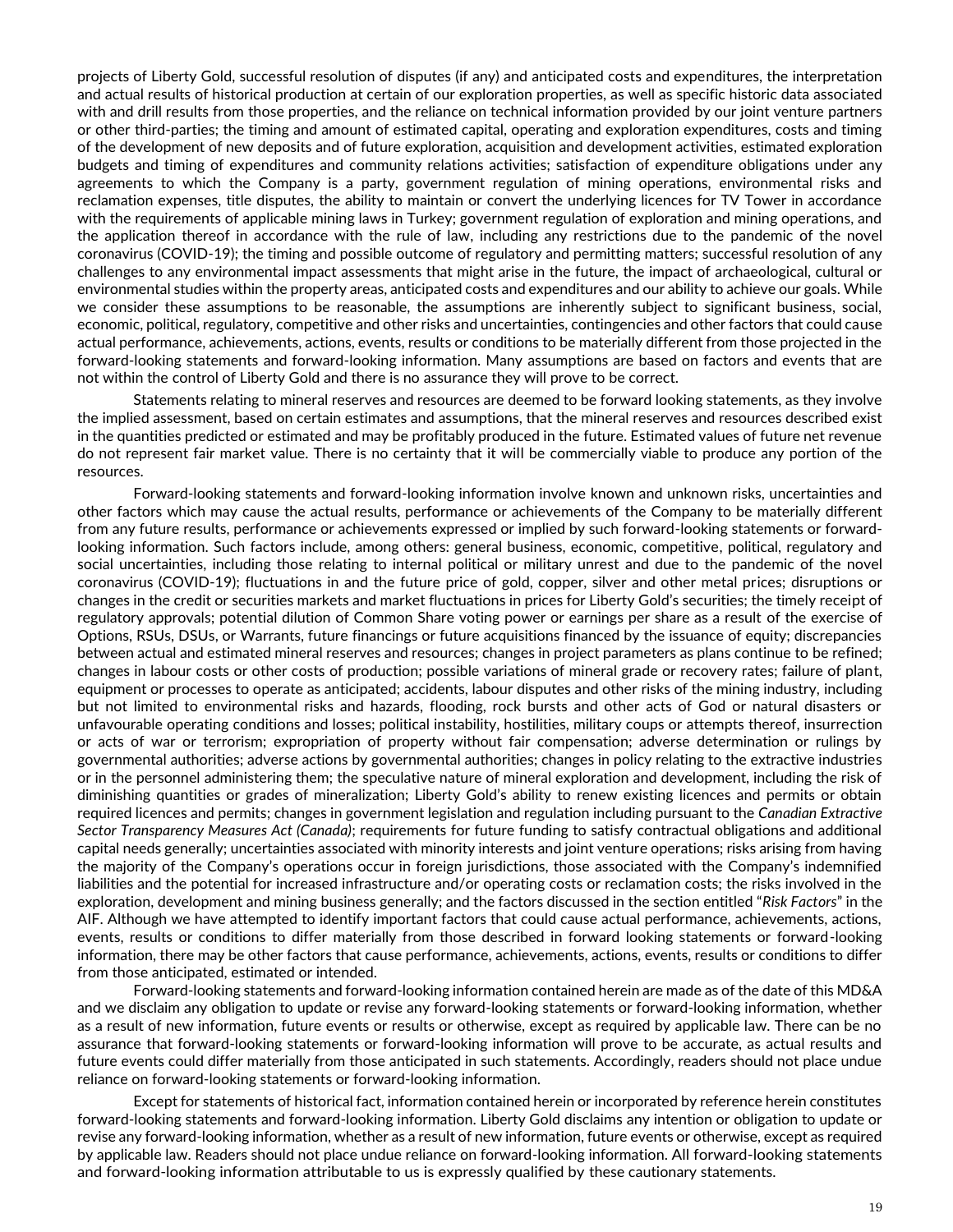projects of Liberty Gold, successful resolution of disputes (if any) and anticipated costs and expenditures, the interpretation and actual results of historical production at certain of our exploration properties, as well as specific historic data associated with and drill results from those properties, and the reliance on technical information provided by our joint venture partners or other third-parties; the timing and amount of estimated capital, operating and exploration expenditures, costs and timing of the development of new deposits and of future exploration, acquisition and development activities, estimated exploration budgets and timing of expenditures and community relations activities; satisfaction of expenditure obligations under any agreements to which the Company is a party, government regulation of mining operations, environmental risks and reclamation expenses, title disputes, the ability to maintain or convert the underlying licences for TV Tower in accordance with the requirements of applicable mining laws in Turkey; government regulation of exploration and mining operations, and the application thereof in accordance with the rule of law, including any restrictions due to the pandemic of the novel coronavirus (COVID-19); the timing and possible outcome of regulatory and permitting matters; successful resolution of any challenges to any environmental impact assessments that might arise in the future, the impact of archaeological, cultural or environmental studies within the property areas, anticipated costs and expenditures and our ability to achieve our goals. While we consider these assumptions to be reasonable, the assumptions are inherently subject to significant business, social, economic, political, regulatory, competitive and other risks and uncertainties, contingencies and other factors that could cause actual performance, achievements, actions, events, results or conditions to be materially different from those projected in the forward-looking statements and forward-looking information. Many assumptions are based on factors and events that are not within the control of Liberty Gold and there is no assurance they will prove to be correct.

Statements relating to mineral reserves and resources are deemed to be forward looking statements, as they involve the implied assessment, based on certain estimates and assumptions, that the mineral reserves and resources described exist in the quantities predicted or estimated and may be profitably produced in the future. Estimated values of future net revenue do not represent fair market value. There is no certainty that it will be commercially viable to produce any portion of the resources.

Forward-looking statements and forward-looking information involve known and unknown risks, uncertainties and other factors which may cause the actual results, performance or achievements of the Company to be materially different from any future results, performance or achievements expressed or implied by such forward-looking statements or forwardlooking information. Such factors include, among others: general business, economic, competitive, political, regulatory and social uncertainties, including those relating to internal political or military unrest and due to the pandemic of the novel coronavirus (COVID-19); fluctuations in and the future price of gold, copper, silver and other metal prices; disruptions or changes in the credit or securities markets and market fluctuations in prices for Liberty Gold's securities; the timely receipt of regulatory approvals; potential dilution of Common Share voting power or earnings per share as a result of the exercise of Options, RSUs, DSUs, or Warrants, future financings or future acquisitions financed by the issuance of equity; discrepancies between actual and estimated mineral reserves and resources; changes in project parameters as plans continue to be refined; changes in labour costs or other costs of production; possible variations of mineral grade or recovery rates; failure of plant, equipment or processes to operate as anticipated; accidents, labour disputes and other risks of the mining industry, including but not limited to environmental risks and hazards, flooding, rock bursts and other acts of God or natural disasters or unfavourable operating conditions and losses; political instability, hostilities, military coups or attempts thereof, insurrection or acts of war or terrorism; expropriation of property without fair compensation; adverse determination or rulings by governmental authorities; adverse actions by governmental authorities; changes in policy relating to the extractive industries or in the personnel administering them; the speculative nature of mineral exploration and development, including the risk of diminishing quantities or grades of mineralization; Liberty Gold's ability to renew existing licences and permits or obtain required licences and permits; changes in government legislation and regulation including pursuant to the *Canadian Extractive Sector Transparency Measures Act (Canada)*; requirements for future funding to satisfy contractual obligations and additional capital needs generally; uncertainties associated with minority interests and joint venture operations; risks arising from having the majority of the Company's operations occur in foreign jurisdictions, those associated with the Company's indemnified liabilities and the potential for increased infrastructure and/or operating costs or reclamation costs; the risks involved in the exploration, development and mining business generally; and the factors discussed in the section entitled "*Risk Factors*" in the AIF. Although we have attempted to identify important factors that could cause actual performance, achievements, actions, events, results or conditions to differ materially from those described in forward looking statements or forward-looking information, there may be other factors that cause performance, achievements, actions, events, results or conditions to differ from those anticipated, estimated or intended.

Forward-looking statements and forward-looking information contained herein are made as of the date of this MD&A and we disclaim any obligation to update or revise any forward-looking statements or forward-looking information, whether as a result of new information, future events or results or otherwise, except as required by applicable law. There can be no assurance that forward-looking statements or forward-looking information will prove to be accurate, as actual results and future events could differ materially from those anticipated in such statements. Accordingly, readers should not place undue reliance on forward-looking statements or forward-looking information.

Except for statements of historical fact, information contained herein or incorporated by reference herein constitutes forward-looking statements and forward-looking information. Liberty Gold disclaims any intention or obligation to update or revise any forward-looking information, whether as a result of new information, future events or otherwise, except as required by applicable law. Readers should not place undue reliance on forward-looking information. All forward-looking statements and forward-looking information attributable to us is expressly qualified by these cautionary statements.